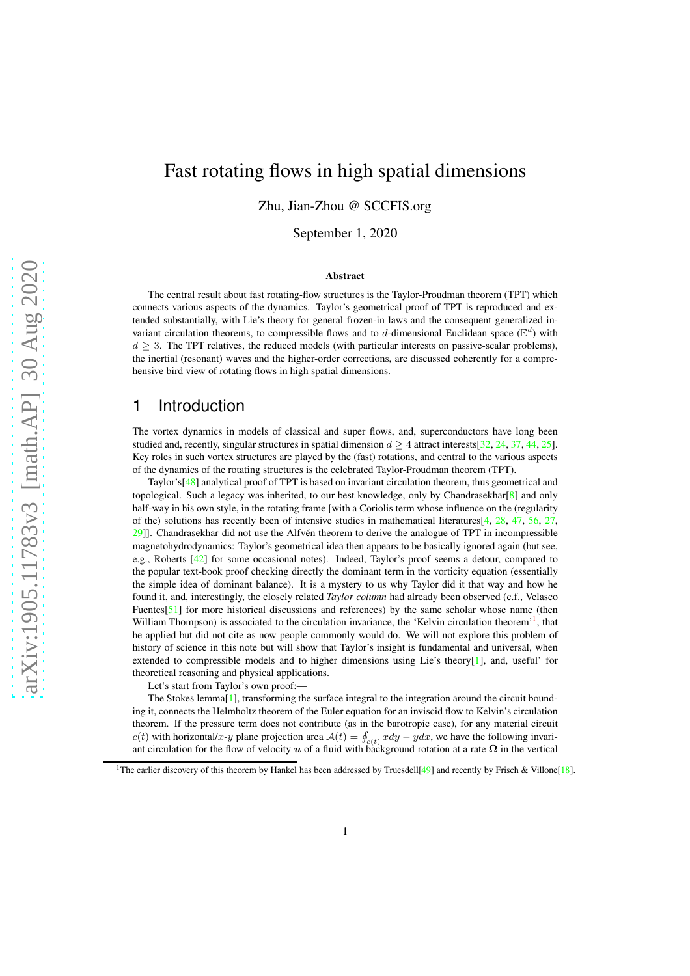# Fast rotating flows in high spatial dimensions

Zhu, Jian-Zhou @ SCCFIS.org

September 1, 2020

#### Abstract

The central result about fast rotating-flow structures is the Taylor-Proudman theorem (TPT) which connects various aspects of the dynamics. Taylor's geometrical proof of TPT is reproduced and extended substantially, with Lie's theory for general frozen-in laws and the consequent generalized invariant circulation theorems, to compressible flows and to d-dimensional Euclidean space ( $\mathbb{E}^d$ ) with  $d \geq 3$ . The TPT relatives, the reduced models (with particular interests on passive-scalar problems), the inertial (resonant) waves and the higher-order corrections, are discussed coherently for a comprehensive bird view of rotating flows in high spatial dimensions.

# 1 Introduction

The vortex dynamics in models of classical and super flows, and, superconductors have long been studied and, recently, singular structures in spatial dimension  $d > 4$  attract interests[\[32,](#page-15-0) [24,](#page-14-0) [37,](#page-15-1) [44,](#page-15-2) [25\]](#page-14-1). Key roles in such vortex structures are played by the (fast) rotations, and central to the various aspects of the dynamics of the rotating structures is the celebrated Taylor-Proudman theorem (TPT).

Taylor's[\[48\]](#page-15-3) analytical proof of TPT is based on invariant circulation theorem, thus geometrical and topological. Such a legacy was inherited, to our best knowledge, only by Chandrasekhar[\[8\]](#page-14-2) and only half-way in his own style, in the rotating frame [with a Coriolis term whose influence on the (regularity of the) solutions has recently been of intensive studies in mathematical literatures[\[4,](#page-14-3) [28,](#page-15-4) [47,](#page-15-5) [56,](#page-16-0) [27,](#page-15-6) [29\]](#page-15-7)]. Chandrasekhar did not use the Alfvén theorem to derive the analogue of TPT in incompressible magnetohydrodynamics: Taylor's geometrical idea then appears to be basically ignored again (but see, e.g., Roberts [\[42\]](#page-15-8) for some occasional notes). Indeed, Taylor's proof seems a detour, compared to the popular text-book proof checking directly the dominant term in the vorticity equation (essentially the simple idea of dominant balance). It is a mystery to us why Taylor did it that way and how he found it, and, interestingly, the closely related *Taylor column* had already been observed (c.f., Velasco Fuentes<sup>[\[51\]](#page-15-9)</sup> for more historical discussions and references) by the same scholar whose name (then William Thompson) is associated to the circulation invariance, the 'Kelvin circulation theorem'<sup>[1](#page-0-0)</sup>, that he applied but did not cite as now people commonly would do. We will not explore this problem of history of science in this note but will show that Taylor's insight is fundamental and universal, when extended to compressible models and to higher dimensions using Lie's theory[\[1\]](#page-13-0), and, useful' for theoretical reasoning and physical applications.

Let's start from Taylor's own proof:—

The Stokes lemma[\[1\]](#page-13-0), transforming the surface integral to the integration around the circuit bounding it, connects the Helmholtz theorem of the Euler equation for an inviscid flow to Kelvin's circulation theorem. If the pressure term does not contribute (as in the barotropic case), for any material circuit c(t) with horizontal/x-y plane projection area  $A(t) = \oint_{c(t)} x dy - y dx$ , we have the following invariant circulation for the flow of velocity  $u$  of a fluid with background rotation at a rate  $\Omega$  in the vertical

<span id="page-0-0"></span><sup>&</sup>lt;sup>1</sup>The earlier discovery of this theorem by Hankel has been addressed by Truesdell<sup>[\[49\]](#page-15-10)</sup> and recently by Frisch & Villone<sup>[\[18\]](#page-14-4)</sup>.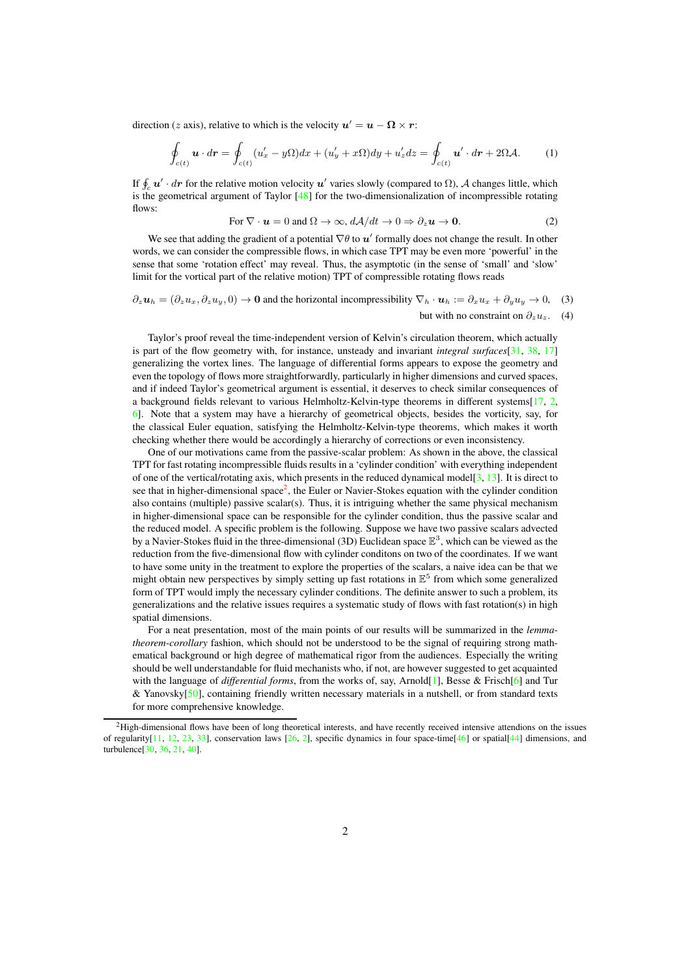direction (z axis), relative to which is the velocity  $u' = u - \Omega \times r$ :

$$
\oint_{c(t)} \mathbf{u} \cdot d\mathbf{r} = \oint_{c(t)} (u'_x - y\Omega) dx + (u'_y + x\Omega) dy + u'_z dz = \oint_{c(t)} \mathbf{u}' \cdot d\mathbf{r} + 2\Omega \mathcal{A}.
$$
 (1)

If  $\oint_c \mathbf{u}' \cdot d\mathbf{r}$  for the relative motion velocity  $\mathbf{u}'$  varies slowly (compared to  $\Omega$ ), A changes little, which is the geometrical argument of Taylor  $[48]$  for the two-dimensionalization of incompressible rotating flows:

For 
$$
\nabla \cdot \mathbf{u} = 0
$$
 and  $\Omega \to \infty$ ,  $d\mathcal{A}/dt \to 0 \Rightarrow \partial_z \mathbf{u} \to \mathbf{0}$ . (2)

We see that adding the gradient of a potential  $\nabla \theta$  to  $\boldsymbol{u}'$  formally does not change the result. In other words, we can consider the compressible flows, in which case TPT may be even more 'powerful' in the sense that some 'rotation effect' may reveal. Thus, the asymptotic (in the sense of 'small' and 'slow' limit for the vortical part of the relative motion) TPT of compressible rotating flows reads

<span id="page-1-1"></span>
$$
\partial_z \mathbf{u}_h = (\partial_z u_x, \partial_z u_y, 0) \to \mathbf{0} \text{ and the horizontal incompressibility } \nabla_h \cdot \mathbf{u}_h := \partial_x u_x + \partial_y u_y \to 0, \quad (3)
$$
  
but with no constraint on  $\partial_z u_z$ . (4)

Taylor's proof reveal the time-independent version of Kelvin's circulation theorem, which actually is part of the flow geometry with, for instance, unsteady and invariant *integral surfaces*[\[31,](#page-15-11) [38,](#page-15-12) [17\]](#page-14-5) generalizing the vortex lines. The language of differential forms appears to expose the geometry and even the topology of flows more straightforwardly, particularly in higher dimensions and curved spaces, and if indeed Taylor's geometrical argument is essential, it deserves to check similar consequences of a background fields relevant to various Helmholtz-Kelvin-type theorems in different systems[\[17,](#page-14-5) [2,](#page-13-1) [6\]](#page-14-6). Note that a system may have a hierarchy of geometrical objects, besides the vorticity, say, for the classical Euler equation, satisfying the Helmholtz-Kelvin-type theorems, which makes it worth checking whether there would be accordingly a hierarchy of corrections or even inconsistency.

One of our motivations came from the passive-scalar problem: As shown in the above, the classical TPT for fast rotating incompressible fluids results in a 'cylinder condition' with everything independent of one of the vertical/rotating axis, which presents in the reduced dynamical model[\[3,](#page-14-7) [13\]](#page-14-8). It is direct to see that in higher-dimensional space<sup>[2](#page-1-0)</sup>, the Euler or Navier-Stokes equation with the cylinder condition also contains (multiple) passive scalar(s). Thus, it is intriguing whether the same physical mechanism in higher-dimensional space can be responsible for the cylinder condition, thus the passive scalar and the reduced model. A specific problem is the following. Suppose we have two passive scalars advected by a Navier-Stokes fluid in the three-dimensional (3D) Euclidean space  $\mathbb{E}^3$ , which can be viewed as the reduction from the five-dimensional flow with cylinder conditons on two of the coordinates. If we want to have some unity in the treatment to explore the properties of the scalars, a naive idea can be that we might obtain new perspectives by simply setting up fast rotations in  $\mathbb{E}^5$  from which some generalized form of TPT would imply the necessary cylinder conditions. The definite answer to such a problem, its generalizations and the relative issues requires a systematic study of flows with fast rotation(s) in high spatial dimensions.

For a neat presentation, most of the main points of our results will be summarized in the *lemmatheorem*-*corollary* fashion, which should not be understood to be the signal of requiring strong mathematical background or high degree of mathematical rigor from the audiences. Especially the writing should be well understandable for fluid mechanists who, if not, are however suggested to get acquainted with the language of *differential forms*, from the works of, say, Arnold<sup>[\[1\]](#page-13-0)</sup>, Besse & Frisch<sup>[6</sup>] and Tur & Yanovsky[\[50\]](#page-15-13), containing friendly written necessary materials in a nutshell, or from standard texts for more comprehensive knowledge.

<span id="page-1-0"></span><sup>&</sup>lt;sup>2</sup>High-dimensional flows have been of long theoretical interests, and have recently received intensive attendions on the issues of regularity $[11, 12, 23, 33]$  $[11, 12, 23, 33]$  $[11, 12, 23, 33]$  $[11, 12, 23, 33]$  $[11, 12, 23, 33]$  $[11, 12, 23, 33]$  $[11, 12, 23, 33]$ , conservation laws  $[26, 2]$  $[26, 2]$ , specific dynamics in four space-time $[46]$  or spatial $[44]$  dimensions, and turbulence[\[30,](#page-15-16) [36,](#page-15-17) [21,](#page-14-13) [40\]](#page-15-18).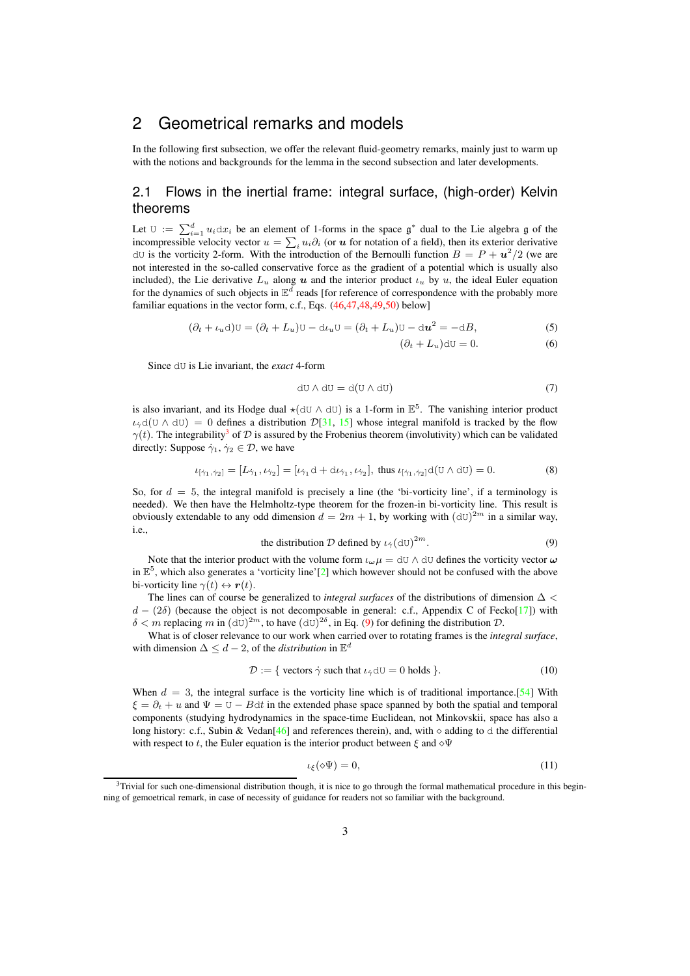# <span id="page-2-4"></span>2 Geometrical remarks and models

In the following first subsection, we offer the relevant fluid-geometry remarks, mainly just to warm up with the notions and backgrounds for the lemma in the second subsection and later developments.

#### 2.1 Flows in the inertial frame: integral surface, (high-order) Kelvin theorems

Let  $\mathbb{U} := \sum_{i=1}^d u_i \, dx_i$  be an element of 1-forms in the space  $\mathfrak{g}^*$  dual to the Lie algebra g of the incompressible velocity vector  $u = \sum_i u_i \partial_i$  (or u for notation of a field), then its exterior derivative dU is the vorticity 2-form. With the introduction of the Bernoulli function  $B = P + u^2/2$  (we are not interested in the so-called conservative force as the gradient of a potential which is usually also included), the Lie derivative  $L_u$  along u and the interior product  $\iota_u$  by u, the ideal Euler equation for the dynamics of such objects in  $\mathbb{E}^d$  reads [for reference of correspondence with the probably more familiar equations in the vector form, c.f., Eqs. [\(46,47,48](#page-11-0)[,49,50\)](#page-11-1) below]

<span id="page-2-2"></span>
$$
(\partial_t + \iota_u \mathrm{d})\mathrm{U} = (\partial_t + L_u)\mathrm{U} - \mathrm{d}\iota_u \mathrm{U} = (\partial_t + L_u)\mathrm{U} - \mathrm{d}u^2 = -\mathrm{d}B,\tag{5}
$$

$$
(\partial_t + L_u) \mathrm{d}U = 0. \tag{6}
$$

Since dU is Lie invariant, the *exact* 4-form

$$
dU \wedge dU = d(U \wedge dU) \tag{7}
$$

is also invariant, and its Hodge dual  $\star$ ( $dU \wedge dU$ ) is a 1-form in  $\mathbb{E}^5$ . The vanishing interior product  $i_{\gamma}d(U \wedge dU) = 0$  defines a distribution  $\mathcal{D}[31, 15]$  $\mathcal{D}[31, 15]$  $\mathcal{D}[31, 15]$  $\mathcal{D}[31, 15]$  whose integral manifold is tracked by the flow  $\gamma(t)$ . The integrability<sup>[3](#page-2-0)</sup> of  $\mathcal D$  is assured by the Frobenius theorem (involutivity) which can be validated directly: Suppose  $\dot{\gamma}_1, \dot{\gamma}_2 \in \mathcal{D}$ , we have

$$
\iota_{[\dot{\gamma}_1, \dot{\gamma}_2]} = [L_{\dot{\gamma}_1}, \iota_{\dot{\gamma}_2}] = [\iota_{\dot{\gamma}_1} \mathrm{d} + \mathrm{d} \iota_{\dot{\gamma}_1}, \iota_{\dot{\gamma}_2}], \text{ thus } \iota_{[\dot{\gamma}_1, \dot{\gamma}_2]} \mathrm{d}(\mathrm{U} \wedge \mathrm{d} \mathrm{U}) = 0. \tag{8}
$$

So, for  $d = 5$ , the integral manifold is precisely a line (the 'bi-vorticity line', if a terminology is needed). We then have the Helmholtz-type theorem for the frozen-in bi-vorticity line. This result is obviously extendable to any odd dimension  $d = 2m + 1$ , by working with  $(dU)^{2m}$  in a similar way, i.e.,

the distribution 
$$
\mathcal{D}
$$
 defined by  $\iota_{\dot{\gamma}}(\mathrm{dU})^{2m}$ . (9)

<span id="page-2-1"></span>Note that the interior product with the volume form  $\iota_{\omega}\mu = dU \wedge dU$  defines the vorticity vector  $\omega$ in  $\mathbb{E}^5$ , which also generates a 'vorticity line'[\[2\]](#page-13-1) which however should not be confused with the above bi-vorticity line  $\gamma(t) \leftrightarrow r(t)$ .

The lines can of course be generalized to *integral surfaces* of the distributions of dimension ∆ <  $d - (2\delta)$  (because the object is not decomposable in general: c.f., Appendix C of Fecko[\[17\]](#page-14-5)) with  $\delta < m$  replacing m in  $(dU)^{2m}$ , to have  $(dU)^{2\delta}$ , in Eq. [\(9\)](#page-2-1) for defining the distribution  $D$ .

What is of closer relevance to our work when carried over to rotating frames is the *integral surface*, with dimension  $\Delta \leq d - 2$ , of the *distribution* in  $\mathbb{E}^d$ 

$$
\mathcal{D} := \{ \text{ vectors } \dot{\gamma} \text{ such that } \iota_{\dot{\gamma}} dU = 0 \text{ holds } \}.
$$
 (10)

When  $d = 3$ , the integral surface is the vorticity line which is of traditional importance. [\[54\]](#page-16-1) With  $\xi = \partial_t + u$  and  $\Psi = U - B dt$  in the extended phase space spanned by both the spatial and temporal components (studying hydrodynamics in the space-time Euclidean, not Minkovskii, space has also a long history: c.f., Subin & Vedan[\[46\]](#page-15-15) and references therein), and, with  $\diamond$  adding to d the differential with respect to t, the Euler equation is the interior product between  $\xi$  and  $\diamond \Psi$ 

<span id="page-2-3"></span>
$$
\iota_{\xi}(\diamond\Psi)=0,\tag{11}
$$

<span id="page-2-0"></span><sup>&</sup>lt;sup>3</sup>Trivial for such one-dimensional distribution though, it is nice to go through the formal mathematical procedure in this beginning of gemoetrical remark, in case of necessity of guidance for readers not so familiar with the background.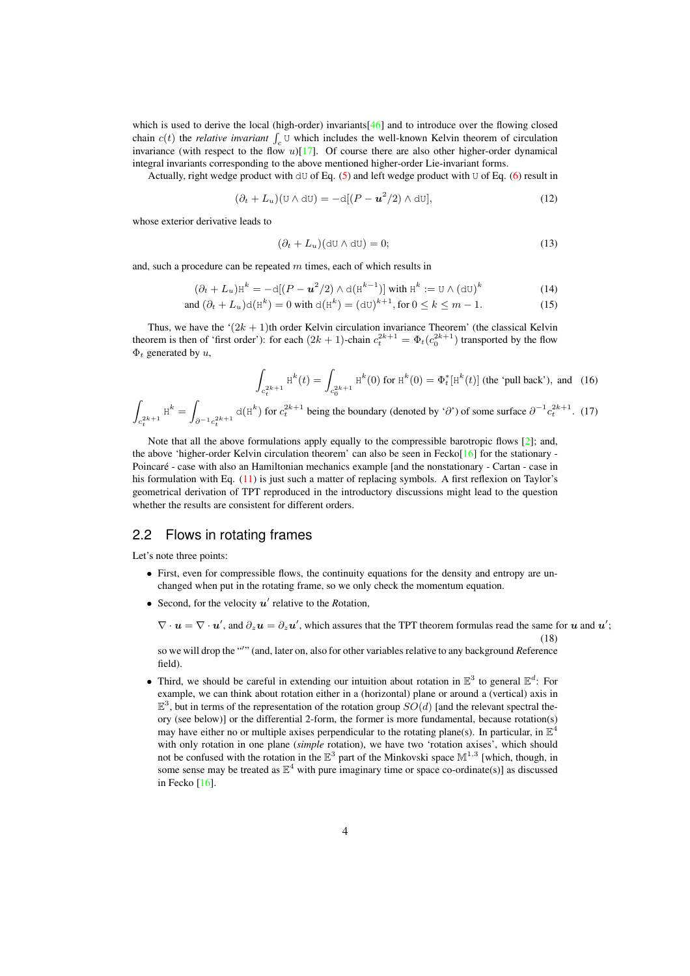which is used to derive the local (high-order) invariants[\[46\]](#page-15-15) and to introduce over the flowing closed chain  $c(t)$  the *relative invariant*  $\int_c U$  which includes the well-known Kelvin theorem of circulation invariance (with respect to the flow  $u$ )[\[17\]](#page-14-5). Of course there are also other higher-order dynamical integral invariants corresponding to the above mentioned higher-order Lie-invariant forms.

Actually, right wedge product with  $dU$  of Eq. [\(5\)](#page-2-2) and left wedge product with U of Eq. [\(6\)](#page-2-2) result in

$$
(\partial_t + L_u)(\mathbf{U} \wedge \mathbf{d}\mathbf{U}) = -\mathbf{d}[(P - \mathbf{u}^2/2) \wedge \mathbf{d}\mathbf{U}],
$$
\n(12)

whose exterior derivative leads to

$$
(\partial_t + L_u)(d\mathbf{U} \wedge d\mathbf{U}) = 0; \tag{13}
$$

and, such a procedure can be repeated  $m$  times, each of which results in

$$
(\partial_t + L_u) \mathbf{H}^k = -\mathbf{d}[(P - \mathbf{u}^2/2) \wedge \mathbf{d}(\mathbf{H}^{k-1})] \text{ with } \mathbf{H}^k := \mathbf{U} \wedge (\mathbf{d}\mathbf{U})^k \tag{14}
$$

and 
$$
(\partial_t + L_u) d(\text{H}^k) = 0
$$
 with  $d(\text{H}^k) = (d\text{U})^{k+1}$ , for  $0 \le k \le m - 1$ . (15)

Thus, we have the  $(2k + 1)$ th order Kelvin circulation invariance Theorem' (the classical Kelvin theorem is then of 'first order'): for each  $(2k + 1)$ -chain  $c_t^{2k+1} = \Phi_t(c_0^{2k+1})$  transported by the flow  $\Phi_t$  generated by  $u$ ,

$$
\int_{c_t^{2k+1}} \mathbf{H}^k(t) = \int_{c_0^{2k+1}} \mathbf{H}^k(0) \text{ for } \mathbf{H}^k(0) = \Phi_t^*[\mathbf{H}^k(t)] \text{ (the 'pull back'), and (16)}
$$

 $\int_{\mathcal{C}_0}$   $\int_{\mathcal{C}_0}$   $\int_{\mathcal{C}_1}$   $\int_{\mathcal{C}_1}$   $\int_{\mathcal{C}_2}$   $\int_{\mathcal{C}_1}$   $\int_{\mathcal{C}_2}$   $\int_{\mathcal{C}_3}$   $\int_{\mathcal{C}_4}$   $\int_{\mathcal{C}_5}$   $\int_{\mathcal{C}_6}$   $\int_{\mathcal{C}_7}$   $\int_{\mathcal{C}_8}$   $\int_{\mathcal{C}_8}$   $\int_{\mathcal{C}_9}$   $\int_{\mathcal{C}_9$  $c_t^{2k+1}$  $H^k =$  $\partial^{-1} c_t^{2k+1}$  $d(H^k)$  for  $c_t^{2k+1}$  being the boundary (denoted by ' $\partial$ ') of some surface  $\partial^{-1} c_t^{2k+1}$ . (17)

Note that all the above formulations apply equally to the compressible barotropic flows [\[2\]](#page-13-1); and, the above 'higher-order Kelvin circulation theorem' can also be seen in Fecko[\[16\]](#page-14-15) for the stationary - Poincaré - case with also an Hamiltonian mechanics example [and the nonstationary - Cartan - case in his formulation with Eq. [\(11\)](#page-2-3) is just such a matter of replacing symbols. A first reflexion on Taylor's geometrical derivation of TPT reproduced in the introductory discussions might lead to the question whether the results are consistent for different orders.

#### 2.2 Flows in rotating frames

Let's note three points:

- First, even for compressible flows, the continuity equations for the density and entropy are unchanged when put in the rotating frame, so we only check the momentum equation.
- Second, for the velocity  $u'$  relative to the Rotation,

$$
\nabla \cdot \mathbf{u} = \nabla \cdot \mathbf{u}'
$$
, and  $\partial_z \mathbf{u} = \partial_z \mathbf{u}'$ , which assures that the TPT theorem formulas read the same for  $\mathbf{u}$  and  $\mathbf{u}'$  (18)

;

so we will drop the "′ " (and, later on, also for other variables relative to any background *R*eference field).

• Third, we should be careful in extending our intuition about rotation in  $\mathbb{E}^3$  to general  $\mathbb{E}^d$ : For example, we can think about rotation either in a (horizontal) plane or around a (vertical) axis in  $\mathbb{E}^3$ , but in terms of the representation of the rotation group  $SO(d)$  [and the relevant spectral theory (see below)] or the differential 2-form, the former is more fundamental, because rotation(s) may have either no or multiple axises perpendicular to the rotating plane(s). In particular, in  $\mathbb{E}^4$ with only rotation in one plane (*simple* rotation), we have two 'rotation axises', which should not be confused with the rotation in the  $\mathbb{E}^3$  part of the Minkovski space  $\mathbb{M}^{1,3}$  [which, though, in some sense may be treated as  $\mathbb{E}^4$  with pure imaginary time or space co-ordinate(s)] as discussed in Fecko [\[16\]](#page-14-15).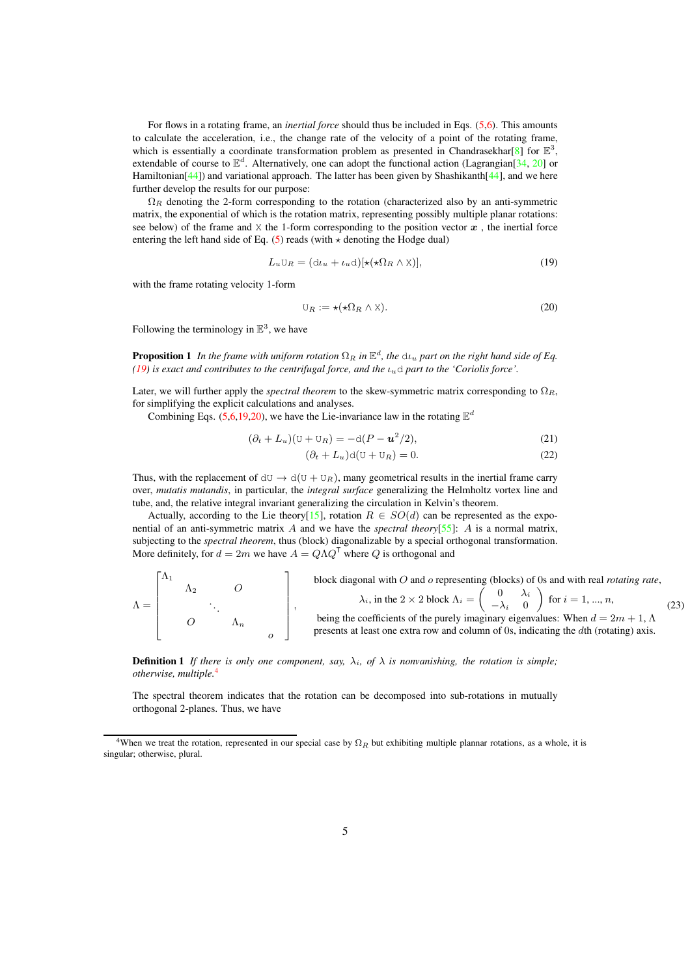For flows in a rotating frame, an *inertial force* should thus be included in Eqs. [\(5,6\)](#page-2-2). This amounts to calculate the acceleration, i.e., the change rate of the velocity of a point of the rotating frame, which is essentially a coordinate transformation problem as presented in Chandrasekhar[\[8\]](#page-14-2) for  $\mathbb{E}^3$ , extendable of course to  $\mathbb{E}^d$ . Alternatively, one can adopt the functional action (Lagrangian[\[34,](#page-15-19) [20\]](#page-14-16) or Hamiltonian<sup>[\[44\]](#page-15-2)</sup>) and variational approach. The latter has been given by Shashikanth<sup>[44]</sup>, and we here further develop the results for our purpose:

 $\Omega_R$  denoting the 2-form corresponding to the rotation (characterized also by an anti-symmetric matrix, the exponential of which is the rotation matrix, representing possibly multiple planar rotations: see below) of the frame and  $X$  the 1-form corresponding to the position vector  $x$ , the inertial force entering the left hand side of Eq.  $(5)$  reads (with  $\star$  denoting the Hodge dual)

$$
L_u \mathbf{U}_R = (\mathbf{d}\iota_u + \iota_u \mathbf{d})[\star(\star \Omega_R \wedge \mathbf{X})],\tag{19}
$$

with the frame rotating velocity 1-form

<span id="page-4-1"></span><span id="page-4-0"></span>
$$
\mathbf{U}_R := \star (\star \Omega_R \wedge \mathbf{X}).\tag{20}
$$

Following the terminology in  $\mathbb{E}^3$ , we have

**Proposition 1** In the frame with uniform rotation  $\Omega_R$  in  $\mathbb{E}^d$ , the  $\Delta u_u$  part on the right hand side of Eq. *[\(19\)](#page-4-0) is exact and contributes to the centrifugal force, and the* ιud *part to the 'Coriolis force'.*

Later, we will further apply the *spectral theorem* to the skew-symmetric matrix corresponding to  $\Omega_R$ , for simplifying the explicit calculations and analyses.

Combining Eqs. [\(5,6](#page-2-2)[,19](#page-4-0)[,20\)](#page-4-1), we have the Lie-invariance law in the rotating  $\mathbb{E}^d$ 

<span id="page-4-3"></span>
$$
(\partial_t + L_u)(\mathbf{U} + \mathbf{U}_R) = -\mathbf{d}(P - \mathbf{u}^2/2),\tag{21}
$$

$$
(\partial_t + L_u)\mathrm{d}(\mathrm{U} + \mathrm{U}_R) = 0.
$$
\n(22)

Thus, with the replacement of  $dU \rightarrow d(U + U_R)$ , many geometrical results in the inertial frame carry over, *mutatis mutandis*, in particular, the *integral surface* generalizing the Helmholtz vortex line and tube, and, the relative integral invariant generalizing the circulation in Kelvin's theorem.

Actually, according to the Lie theory[\[15\]](#page-14-14), rotation  $R \in SO(d)$  can be represented as the exponential of an anti-symmetric matrix A and we have the *spectral theory*[\[55\]](#page-16-2): A is a normal matrix, subjecting to the *spectral theorem*, thus (block) diagonalizable by a special orthogonal transformation. More definitely, for  $d = 2m$  we have  $A = Q\Lambda Q^{\mathsf{T}}$  where  $Q$  is orthogonal and

<span id="page-4-5"></span>

|  | 412 |  | block diagonal with $O$ and $o$ representing (blocks) of 0s and with real <i>rotating rate</i> ,<br>$\lambda_i$ , in the 2 × 2 block $\Lambda_i = \begin{pmatrix} 0 & \lambda_i \\ -\lambda_i & 0 \end{pmatrix}$ for $i = 1, , n$ , |  |
|--|-----|--|-------------------------------------------------------------------------------------------------------------------------------------------------------------------------------------------------------------------------------------|--|
|  |     |  | being the coefficients of the purely imaginary eigenvalues: When $d = 2m + 1$ , $\Lambda$<br>presents at least one extra row and column of 0s, indicating the dth (rotating) axis.                                                  |  |

**Definition 1** *If there is only one component, say,*  $\lambda_i$ , of  $\lambda$  *is nonvanishing, the rotation is simple; otherwise, multiple.*[4](#page-4-2)

<span id="page-4-4"></span>The spectral theorem indicates that the rotation can be decomposed into sub-rotations in mutually orthogonal 2-planes. Thus, we have

<span id="page-4-2"></span><sup>&</sup>lt;sup>4</sup>When we treat the rotation, represented in our special case by  $\Omega_R$  but exhibiting multiple plannar rotations, as a whole, it is singular; otherwise, plural.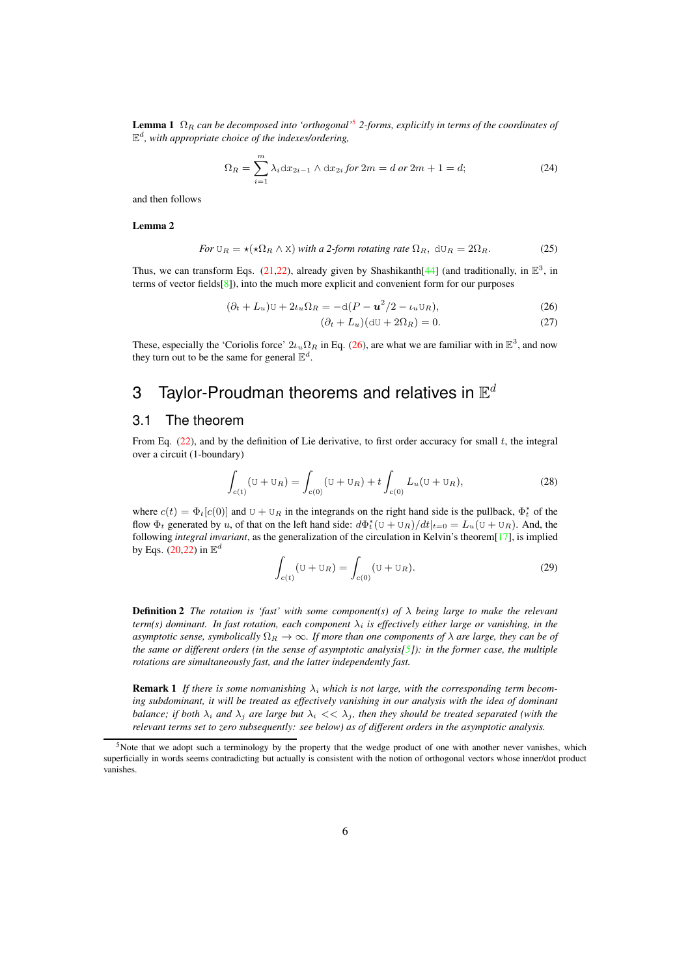**Lemma 1**  $\Omega_R$  can be decomposed into 'orthogonal'<sup>[5](#page-5-0)</sup> 2-forms, explicitly in terms of the coordinates of E d *, with appropriate choice of the indexes/ordering,*

<span id="page-5-3"></span><span id="page-5-2"></span>
$$
\Omega_R = \sum_{i=1}^m \lambda_i \, dx_{2i-1} \wedge dx_{2i} \, \text{for} \, 2m = d \, \text{or} \, 2m + 1 = d; \tag{24}
$$

and then follows

<span id="page-5-5"></span>Lemma 2

$$
For U_R = \star (\star \Omega_R \wedge X) \text{ with a 2-form rotating rate } \Omega_R, \ dU_R = 2\Omega_R. \tag{25}
$$

Thus, we can transform Eqs. [\(21,22\)](#page-4-3), already given by Shashikanth[\[44\]](#page-15-2) (and traditionally, in  $\mathbb{E}^3$ , in terms of vector fields[\[8\]](#page-14-2)), into the much more explicit and convenient form for our purposes

<span id="page-5-1"></span>
$$
(\partial_t + L_u)U + 2\iota_u\Omega_R = -d(P - \mathbf{u}^2/2 - \iota_u U_R),
$$
\n(26)

$$
(\partial_t + L_u)(dU + 2\Omega_R) = 0.
$$
\n(27)

These, especially the 'Coriolis force'  $2\iota_u \Omega_R$  in Eq. [\(26\)](#page-5-1), are what we are familiar with in  $\mathbb{E}^3$ , and now they turn out to be the same for general  $\mathbb{E}^d$ .

# 3 Taylor-Proudman theorems and relatives in  $\mathbb{E}^d$

#### 3.1 The theorem

From Eq.  $(22)$ , and by the definition of Lie derivative, to first order accuracy for small t, the integral over a circuit (1-boundary)

$$
\int_{c(t)} (\mathbf{U} + \mathbf{U}_R) = \int_{c(0)} (\mathbf{U} + \mathbf{U}_R) + t \int_{c(0)} L_u (\mathbf{U} + \mathbf{U}_R), \tag{28}
$$

where  $c(t) = \Phi_t[c(0)]$  and  $U + U_R$  in the integrands on the right hand side is the pullback,  $\Phi_t^*$  of the flow  $\Phi_t$  generated by u, of that on the left hand side:  $d\Phi_t^*(U + U_R)/dt|_{t=0} = L_u(U + U_R)$ . And, the following *integral invariant*, as the generalization of the circulation in Kelvin's theorem[\[17\]](#page-14-5), is implied by Eqs. [\(20](#page-4-1)[,22\)](#page-4-3) in  $\mathbb{E}^d$ 

$$
\int_{c(t)} (\mathbf{U} + \mathbf{U}_R) = \int_{c(0)} (\mathbf{U} + \mathbf{U}_R). \tag{29}
$$

<span id="page-5-4"></span>Definition 2 *The rotation is 'fast' with some component(s) of* λ *being large to make the relevant*  $term(s)$  dominant. In fast rotation, each component  $\lambda_i$  is effectively either large or vanishing, in the *asymptotic sense, symbolically*  $\Omega_R \to \infty$ *. If more than one components of*  $\lambda$  *are large, they can be of the same or different orders (in the sense of asymptotic analysis[\[5\]](#page-14-17)): in the former case, the multiple rotations are simultaneously fast, and the latter independently fast.*

**Remark 1** If there is some nonvanishing  $\lambda_i$  which is not large, with the corresponding term becom*ing subdominant, it will be treated as effectively vanishing in our analysis with the idea of dominant balance; if both*  $\lambda_i$  *and*  $\lambda_j$  *are large but*  $\lambda_i \ll \lambda_j$ *, then they should be treated separated (with the relevant terms set to zero subsequently: see below) as of different orders in the asymptotic analysis.*

<span id="page-5-0"></span> $5$ Note that we adopt such a terminology by the property that the wedge product of one with another never vanishes, which superficially in words seems contradicting but actually is consistent with the notion of orthogonal vectors whose inner/dot product vanishes.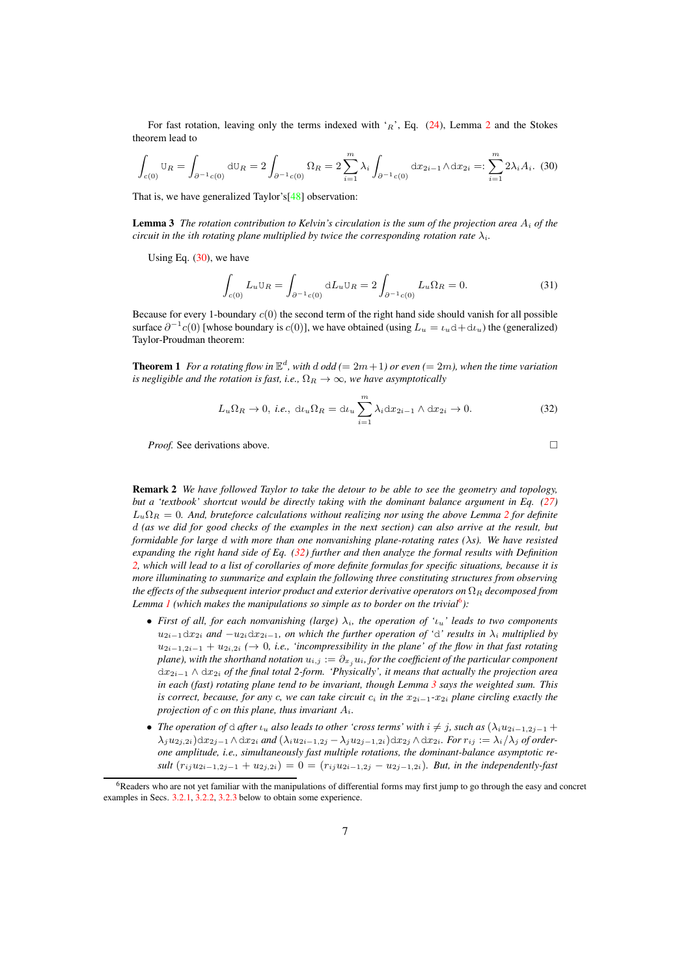For fast rotation, leaving only the terms indexed with  $r_R$ ', Eq. [\(24\)](#page-5-2), Lemma [2](#page-5-3) and the Stokes theorem lead to

<span id="page-6-0"></span>
$$
\int_{c(0)} \mathbb{U}_R = \int_{\partial^{-1}c(0)} \mathrm{d}\mathbb{U}_R = 2 \int_{\partial^{-1}c(0)} \Omega_R = 2 \sum_{i=1}^m \lambda_i \int_{\partial^{-1}c(0)} \mathrm{d}x_{2i-1} \wedge \mathrm{d}x_{2i} =: \sum_{i=1}^m 2\lambda_i A_i. \tag{30}
$$

That is, we have generalized Taylor's[\[48\]](#page-15-3) observation:

**Lemma 3** The rotation contribution to Kelvin's circulation is the sum of the projection area  $A_i$  of the *circuit in the ith rotating plane multiplied by twice the corresponding rotation rate*  $\lambda_i$ *.* 

Using Eq.  $(30)$ , we have

<span id="page-6-4"></span><span id="page-6-3"></span>
$$
\int_{c(0)} L_u \mathbf{U}_R = \int_{\partial^{-1} c(0)} \mathrm{d}L_u \mathbf{U}_R = 2 \int_{\partial^{-1} c(0)} L_u \Omega_R = 0. \tag{31}
$$

Because for every 1-boundary  $c(0)$  the second term of the right hand side should vanish for all possible surface  $\partial^{-1}c(0)$  [whose boundary is  $c(0)$ ], we have obtained (using  $L_u = \iota_u d + d\iota_u$ ) the (generalized) Taylor-Proudman theorem:

**Theorem 1** For a rotating flow in  $\mathbb{E}^d$ , with  $d$  odd (=  $2m+1$ ) or even (=  $2m$ ), when the time variation *is negligible and the rotation is fast, i.e.,*  $\Omega_R \to \infty$ *, we have asymptotically* 

$$
L_u \Omega_R \to 0, \ i.e., \ d u_u \Omega_R = d u_u \sum_{i=1}^m \lambda_i dx_{2i-1} \wedge dx_{2i} \to 0.
$$
 (32)

*Proof.* See derivations above. □

<span id="page-6-1"></span>

Remark 2 *We have followed Taylor to take the detour to be able to see the geometry and topology, but a 'textbook' shortcut would be directly taking with the dominant balance argument in Eq. [\(27\)](#page-5-1)*  $L_u\Omega_R = 0$ . And, bruteforce calculations without realizing nor using the above Lemma [2](#page-5-3) for definite d *(as we did for good checks of the examples in the next section) can also arrive at the result, but formidable for large* d *with more than one nonvanishing plane-rotating rates (*λ*s). We have resisted expanding the right hand side of Eq. [\(32\)](#page-6-1) further and then analyze the formal results with Definition [2,](#page-5-4) which will lead to a list of corollaries of more definite formulas for specific situations, because it is more illuminating to summarize and explain the following three constituting structures from observing the effects of the subsequent interior product and exterior derivative operators on*  $\Omega_R$  *decomposed from* Lemma *I* (which makes the manipulations so simple as to border on the trivial<sup>[6](#page-6-2)</sup>):

- *First of all, for each nonvanishing (large)*  $\lambda_i$ *, the operation of '* $\iota_u$ ' *leads to two components*  $u_{2i-1}dx_{2i}$  *and*  $-u_{2i}dx_{2i-1}$ *, on which the further operation of 'd' results in*  $\lambda_i$  *multiplied by* u2i−1,2i−<sup>1</sup> + u2i,2<sup>i</sup> *(*→ 0*, i.e., 'incompressibility in the plane' of the flow in that fast rotating plane), with the shorthand notation*  $u_{i,j} := \partial_x u_i$ , for the coefficient of the particular component <sup>d</sup>x2i−<sup>1</sup> <sup>∧</sup> <sup>d</sup>x2<sup>i</sup> *of the final total 2-form. 'Physically', it means that actually the projection area in each (fast) rotating plane tend to be invariant, though Lemma [3](#page-6-3) says the weighted sum. This is correct, because, for any c, we can take circuit*  $c_i$  *in the*  $x_{2i-1}$ *-* $x_{2i}$  *plane circling exactly the projection of* c *on this plane, thus invariant* Ai*.*
- *The operation of*  $\triangle$  *after*  $\iota_u$  *also leads to other 'cross terms' with*  $i \neq j$ *, such as*  $(\lambda_i u_{2i-1,2j-1} +$  $\lambda_j u_{2j,2i}$ )d $x_{2j-1}$  ∧d $x_{2i}$  *and*  $(\lambda_i u_{2i-1,2j} - \lambda_j u_{2j-1,2i})$ d $x_{2j}$  ∧d $x_{2i}$ *. For*  $r_{ij} := \lambda_i/\lambda_j$  *of orderone amplitude, i.e., simultaneously fast multiple rotations, the dominant-balance asymptotic result*  $(r_{ij}u_{2i-1,2j-1} + u_{2j,2i}) = 0 = (r_{ij}u_{2i-1,2j} - u_{2j-1,2i})$ *. But, in the independently-fast*

<span id="page-6-2"></span><sup>&</sup>lt;sup>6</sup>Readers who are not yet familiar with the manipulations of differential forms may first jump to go through the easy and concret examples in Secs. [3.2.1,](#page-7-0) [3.2.2,](#page-8-0) [3.2.3](#page-8-1) below to obtain some experience.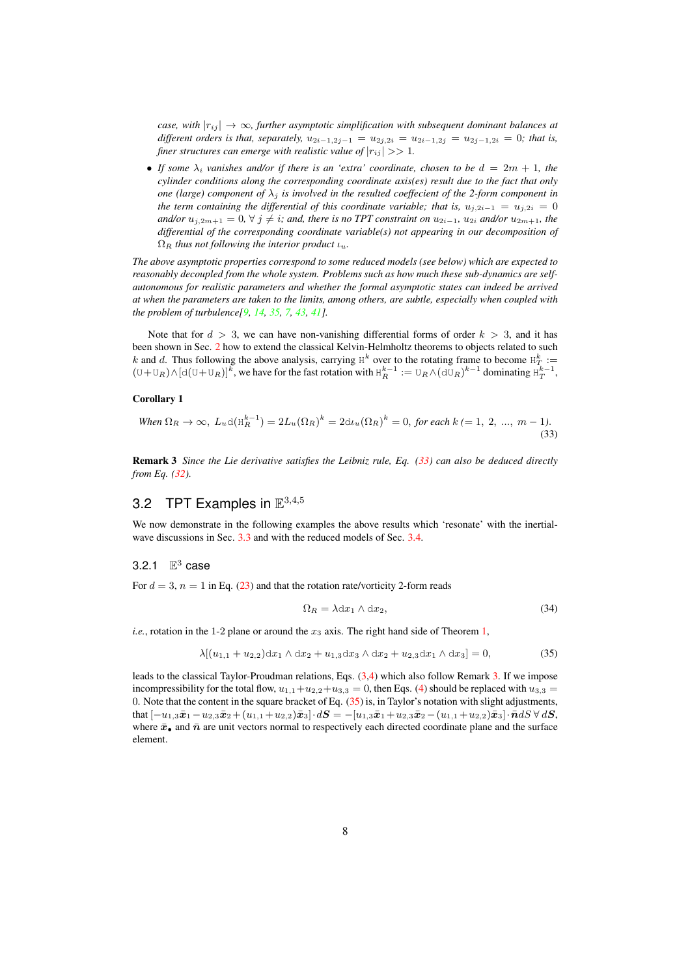*case, with*  $|r_{ii}| \rightarrow \infty$ *, further asymptotic simplification with subsequent dominant balances at different orders is that, separately,*  $u_{2i-1,2j-1} = u_{2j,2i} = u_{2i-1,2j} = u_{2j-1,2i} = 0$ ; that is, *finer structures can emerge with realistic value of*  $|r_{ij}| >> 1$ *.* 

• If some  $\lambda_i$  vanishes and/or if there is an 'extra' coordinate, chosen to be  $d = 2m + 1$ , the *cylinder conditions along the corresponding coordinate axis(es) result due to the fact that only one (large) component of*  $\lambda_i$  *is involved in the resulted coeffecient of the 2-form component in the term containing the differential of this coordinate variable; that is,*  $u_{j,2i-1} = u_{j,2i} = 0$ *and/or*  $u_{i,2m+1} = 0$ ,  $\forall$  j  $\neq$  *i*; and, there is no TPT constraint on  $u_{2i-1}$ ,  $u_{2i}$  and/or  $u_{2m+1}$ , the *differential of the corresponding coordinate variable(s) not appearing in our decomposition of*  $\Omega_R$  *thus not following the interior product*  $\iota_u$ *.* 

*The above asymptotic properties correspond to some reduced models (see below) which are expected to reasonably decoupled from the whole system. Problems such as how much these sub-dynamics are selfautonomous for realistic parameters and whether the formal asymptotic states can indeed be arrived at when the parameters are taken to the limits, among others, are subtle, especially when coupled with the problem of turbulence[\[9,](#page-14-18) [14,](#page-14-19) [35,](#page-15-20) [7,](#page-14-20) [43,](#page-15-21) [41\]](#page-15-22).*

Note that for  $d > 3$ , we can have non-vanishing differential forms of order  $k > 3$ , and it has been shown in Sec. [2](#page-2-4) how to extend the classical Kelvin-Helmholtz theorems to objects related to such k and d. Thus following the above analysis, carrying  $H^k$  over to the rotating frame to become  $H^k_T :=$  $(U+U_R) \wedge [d(U+U_R)]^k$ , we have for the fast rotation with  $H_R^{k-1} := U_R \wedge (dU_R)^{k-1}$  dominating  $H_T^{k-1}$ ,

#### <span id="page-7-1"></span>Corollary 1

When 
$$
\Omega_R \to \infty
$$
,  $L_u d(H_R^{k-1}) = 2L_u(\Omega_R)^k = 2d_t(u(\Omega_R)^k = 0$ , for each  $k = 1, 2, ..., m - 1$ ). (33)

<span id="page-7-2"></span>Remark 3 *Since the Lie derivative satisfies the Leibniz rule, Eq. [\(33\)](#page-7-1) can also be deduced directly from Eq. [\(32\)](#page-6-1).*

# 3.2 TPT Examples in  $\mathbb{E}^{3,4,5}$

We now demonstrate in the following examples the above results which 'resonate' with the inertial-wave discussions in Sec. [3.3](#page-9-0) and with the reduced models of Sec. [3.4.](#page-10-0)

## <span id="page-7-0"></span>3.2.1  $\mathbb{E}^3$  case

For  $d = 3$ ,  $n = 1$  in Eq. [\(23\)](#page-4-5) and that the rotation rate/vorticity 2-form reads

<span id="page-7-3"></span>
$$
\Omega_R = \lambda \mathrm{d}x_1 \wedge \mathrm{d}x_2,\tag{34}
$$

*i.e.*, rotation in the 1-2 plane or around the  $x_3$  axis. The right hand side of Theorem [1,](#page-6-4)

$$
\lambda[(u_{1,1} + u_{2,2})dx_1 \wedge dx_2 + u_{1,3}dx_3 \wedge dx_2 + u_{2,3}dx_1 \wedge dx_3] = 0, \qquad (35)
$$

leads to the classical Taylor-Proudman relations, Eqs. [\(3,4\)](#page-1-1) which also follow Remark [3.](#page-7-2) If we impose incompressibility for the total flow,  $u_{1,1}+u_{2,2}+u_{3,3}=0$ , then Eqs. [\(4\)](#page-1-1) should be replaced with  $u_{3,3}=0$ 0. Note that the content in the square bracket of Eq. [\(35\)](#page-7-3) is, in Taylor's notation with slight adjustments, that  $[-u_{1,3}\bar{x}_1 - u_{2,3}\bar{x}_2 + (u_{1,1} + u_{2,2})\bar{x}_3] \cdot dS = -[u_{1,3}\bar{x}_1 + u_{2,3}\bar{x}_2 - (u_{1,1} + u_{2,2})\bar{x}_3] \cdot \bar{n} dS \forall dS,$ where  $\bar{x}_\bullet$  and  $\bar{n}$  are unit vectors normal to respectively each directed coordinate plane and the surface element.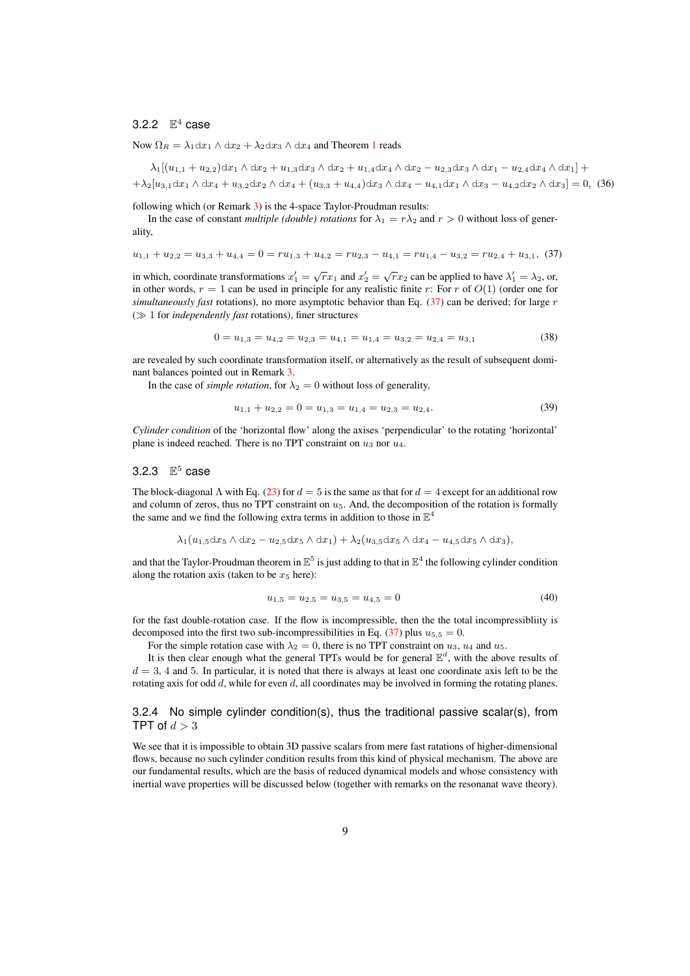#### <span id="page-8-0"></span>3.2.2  $\mathbb{E}^4$  case

Now  $\Omega_R = \lambda_1 dx_1 \wedge dx_2 + \lambda_2 dx_3 \wedge dx_4$  $\Omega_R = \lambda_1 dx_1 \wedge dx_2 + \lambda_2 dx_3 \wedge dx_4$  $\Omega_R = \lambda_1 dx_1 \wedge dx_2 + \lambda_2 dx_3 \wedge dx_4$  and Theorem 1 reads

 $\lambda_1[(u_{1,1} + u_{2,2})dx_1 \wedge dx_2 + u_{1,3}dx_3 \wedge dx_2 + u_{1,4}dx_4 \wedge dx_2 - u_{2,3}dx_3 \wedge dx_1 - u_{2,4}dx_4 \wedge dx_1] +$  $+\lambda_2[u_{3,1}dx_1\wedge dx_4+u_{3,2}dx_2\wedge dx_4+(u_{3,3}+u_{4,4})dx_3\wedge dx_4-u_{4,1}dx_1\wedge dx_3-u_{4,2}dx_2\wedge dx_3]=0$ , (36)

following which (or Remark [3\)](#page-7-2) is the 4-space Taylor-Proudman results:

In the case of constant *multiple (double) rotations* for  $\lambda_1 = r\lambda_2$  and  $r > 0$  without loss of generality,

<span id="page-8-2"></span>
$$
u_{1,1} + u_{2,2} = u_{3,3} + u_{4,4} = 0 = r u_{1,3} + u_{4,2} = r u_{2,3} - u_{4,1} = r u_{1,4} - u_{3,2} = r u_{2,4} + u_{3,1}, \tag{37}
$$

in which, coordinate transformations  $x'_1 = \sqrt{r}x_1$  and  $x'_2 = \sqrt{r}x_2$  can be applied to have  $\lambda'_1 = \lambda_2$ , or, in other words,  $r = 1$  can be used in principle for any realistic finite r: For r of  $O(1)$  (order one for *simultaneously fast* rotations), no more asymptotic behavior than Eq. [\(37\)](#page-8-2) can be derived; for large r (≫ 1 for *independently fast* rotations), finer structures

<span id="page-8-5"></span>
$$
0 = u_{1,3} = u_{4,2} = u_{2,3} = u_{4,1} = u_{1,4} = u_{3,2} = u_{2,4} = u_{3,1}
$$
\n
$$
(38)
$$

are revealed by such coordinate transformation itself, or alternatively as the result of subsequent dominant balances pointed out in Remark [3.](#page-7-2)

In the case of *simple rotation*, for  $\lambda_2 = 0$  without loss of generality,

<span id="page-8-3"></span>
$$
u_{1,1} + u_{2,2} = 0 = u_{1,3} = u_{1,4} = u_{2,3} = u_{2,4}.
$$
\n(39)

*Cylinder condition* of the 'horizontal flow' along the axises 'perpendicular' to the rotating 'horizontal' plane is indeed reached. There is no TPT constraint on  $u_3$  nor  $u_4$ .

#### <span id="page-8-1"></span>3.2.3  $E^5$  case

The block-diagonal  $\Lambda$  with Eq. [\(23\)](#page-4-5) for  $d = 5$  is the same as that for  $d = 4$  except for an additional row and column of zeros, thus no TPT constraint on  $u_5$ . And, the decomposition of the rotation is formally the same and we find the following extra terms in addition to those in  $\mathbb{E}^4$ 

$$
\lambda_1(u_{1,5}\mathrm{d}x_5\wedge \mathrm{d}x_2-u_{2,5}\mathrm{d}x_5\wedge \mathrm{d}x_1)+\lambda_2(u_{3,5}\mathrm{d}x_5\wedge \mathrm{d}x_4-u_{4,5}\mathrm{d}x_5\wedge \mathrm{d}x_3),
$$

and that the Taylor-Proudman theorem in  $\mathbb{E}^5$  is just adding to that in  $\mathbb{E}^4$  the following cylinder condition along the rotation axis (taken to be  $x_5$  here):

<span id="page-8-4"></span>
$$
u_{1,5} = u_{2,5} = u_{3,5} = u_{4,5} = 0 \tag{40}
$$

for the fast double-rotation case. If the flow is incompressible, then the the total incompressibliity is decomposed into the first two sub-incompressibilities in Eq. [\(37\)](#page-8-2) plus  $u_{5,5} = 0$ .

For the simple rotation case with  $\lambda_2 = 0$ , there is no TPT constraint on  $u_3$ ,  $u_4$  and  $u_5$ .

It is then clear enough what the general TPTs would be for general  $\mathbb{E}^d$ , with the above results of  $d = 3$ , 4 and 5. In particular, it is noted that there is always at least one coordinate axis left to be the rotating axis for odd  $d$ , while for even  $d$ , all coordinates may be involved in forming the rotating planes.

3.2.4 No simple cylinder condition(s), thus the traditional passive scalar(s), from TPT of  $d > 3$ 

We see that it is impossible to obtain 3D passive scalars from mere fast ratations of higher-dimensional flows, because no such cylinder condition results from this kind of physical mechanism. The above are our fundamental results, which are the basis of reduced dynamical models and whose consistency with inertial wave properties will be discussed below (together with remarks on the resonanat wave theory).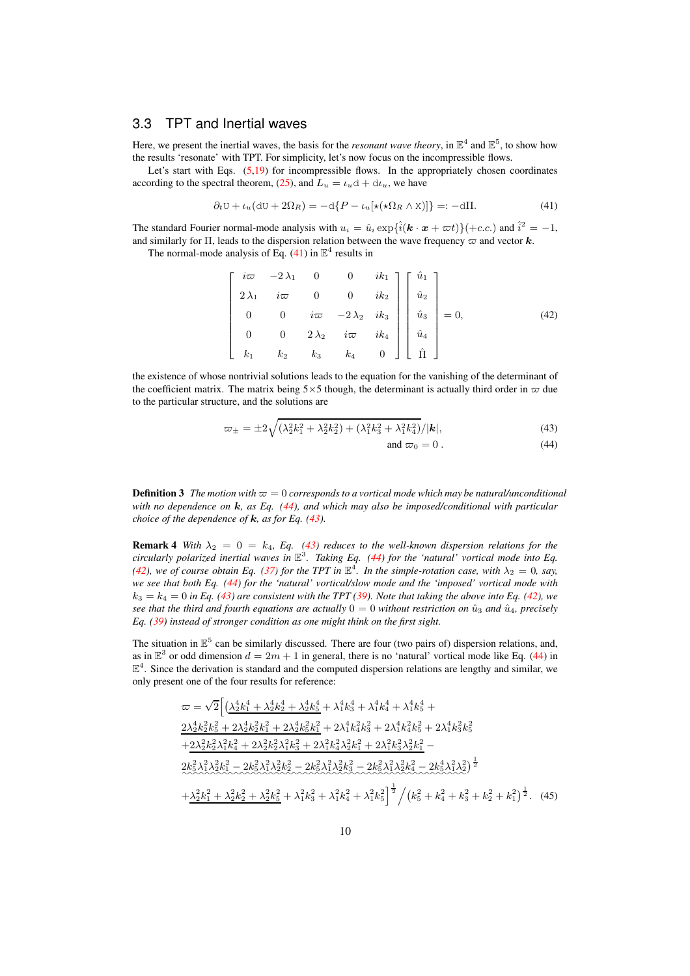#### <span id="page-9-0"></span>3.3 TPT and Inertial waves

Here, we present the inertial waves, the basis for the *resonant wave theory*, in  $\mathbb{E}^4$  and  $\mathbb{E}^5$ , to show how the results 'resonate' with TPT. For simplicity, let's now focus on the incompressible flows.

Let's start with Eqs.  $(5,19)$  $(5,19)$  for incompressible flows. In the appropriately chosen coordinates according to the spectral theorem, [\(25\)](#page-5-5), and  $L_u = \iota_u d + d\iota_u$ , we have

<span id="page-9-1"></span>
$$
\partial_t \mathbf{U} + \iota_u (\mathbf{d} \mathbf{U} + 2\Omega_R) = -\mathbf{d} \{ P - \iota_u [\star (\star \Omega_R \wedge \mathbf{X})] \} =: -\mathbf{d} \Pi. \tag{41}
$$

The standard Fourier normal-mode analysis with  $u_i = \hat{u}_i \exp{\{\hat{i}(\mathbf{k} \cdot \mathbf{x} + \varpi t)\} + c.c.)}$  and  $\hat{i}^2 = -1$ , and similarly for Π, leads to the dispersion relation between the wave frequency  $\varpi$  and vector k.

The normal-mode analysis of Eq. [\(41\)](#page-9-1) in  $\mathbb{E}^4$  results in

<span id="page-9-3"></span>
$$
\begin{bmatrix}\ni\varpi & -2\lambda_1 & 0 & 0 & ik_1 \\
2\lambda_1 & i\varpi & 0 & 0 & ik_2 \\
0 & 0 & i\varpi & -2\lambda_2 & ik_3 \\
0 & 0 & 2\lambda_2 & i\varpi & ik_4 \\
k_1 & k_2 & k_3 & k_4 & 0\n\end{bmatrix}\n\begin{bmatrix}\n\hat{u}_1 \\
\hat{u}_2 \\
\hat{u}_3 \\
\hat{u}_4 \\
\hat{u}_4 \\
\hat{\Pi}\n\end{bmatrix} = 0,
$$
\n(42)

the existence of whose nontrivial solutions leads to the equation for the vanishing of the determinant of the coefficient matrix. The matrix being  $5\times 5$  though, the determinant is actually third order in  $\varpi$  due to the particular structure, and the solutions are

<span id="page-9-2"></span>
$$
\varpi_{\pm} = \pm 2\sqrt{(\lambda_2^2 k_1^2 + \lambda_2^2 k_2^2) + (\lambda_1^2 k_3^2 + \lambda_1^2 k_4^2)} / |\mathbf{k}|,\tag{43}
$$

$$
and \ \varpi_0 = 0. \tag{44}
$$

**Definition 3** *The motion with*  $\varpi = 0$  *corresponds to a vortical mode which may be natural/unconditional with no dependence on* k*, as Eq. [\(44\)](#page-9-2), and which may also be imposed/conditional with particular choice of the dependence of* k*, as for Eq. [\(43\)](#page-9-2).*

<span id="page-9-4"></span>**Remark 4** With  $\lambda_2 = 0 = k_4$ , Eq. [\(43\)](#page-9-2) reduces to the well-known dispersion relations for the *circularly polarized inertial waves in* E 3 *. Taking Eq. [\(44\)](#page-9-2) for the 'natural' vortical mode into Eq. [\(42\)](#page-9-3), we of course obtain Eq. [\(37\)](#page-8-2) for the TPT in*  $\mathbb{E}^4$ . In the simple-rotation case, with  $\lambda_2 = 0$ , say, *we see that both Eq. [\(44\)](#page-9-2) for the 'natural' vortical/slow mode and the 'imposed' vortical mode with*  $k_3 = k_4 = 0$  in Eq. [\(43\)](#page-9-2) are consistent with the TPT [\(39\)](#page-8-3). Note that taking the above into Eq. [\(42\)](#page-9-3), we *see that the third and fourth equations are actually*  $0 = 0$  *without restriction on*  $\hat{u}_3$  *and*  $\hat{u}_4$ *, precisely Eq. [\(39\)](#page-8-3) instead of stronger condition as one might think on the first sight.*

The situation in  $\mathbb{E}^5$  can be similarly discussed. There are four (two pairs of) dispersion relations, and, as in  $\mathbb{E}^3$  or odd dimension  $d = 2m + 1$  in general, there is no 'natural' vortical mode like Eq. [\(44\)](#page-9-2) in  $\mathbb{E}^4$ . Since the derivation is standard and the computed dispersion relations are lengthy and similar, we only present one of the four results for reference:

$$
\varpi = \sqrt{2} \Big[ \Big( \frac{\lambda_2^4 k_1^4 + \lambda_2^4 k_2^4 + \lambda_2^4 k_5^4 + \lambda_1^4 k_3^4 + \lambda_1^4 k_4^4 + \lambda_1^4 k_5^4 + 2\lambda_2^4 k_2^2 k_5^2 + 2\lambda_2^4 k_2^2 k_1^2 + 2\lambda_2^4 k_5^2 k_1^2 + 2\lambda_1^4 k_4^2 k_3^2 + 2\lambda_1^4 k_4^2 k_5^2 + 2\lambda_1^4 k_3^2 k_5^2 + 2\lambda_2^2 k_2^2 \lambda_1^2 k_4^2 + 2\lambda_2^2 k_2^2 \lambda_1^2 k_3^2 + 2\lambda_1^2 k_4^2 \lambda_2^2 k_1^2 + 2\lambda_1^2 k_3^2 \lambda_2^2 k_1^2 - 2k_5^2 \lambda_1^2 \lambda_2^2 k_2^2 - 2k_5^2 \lambda_1^2 \lambda_2^2 k_3^2 - 2k_5^2 \lambda_1^2 \lambda_2^2 k_4^2 - 2k_5^4 \lambda_1^2 \lambda_2^2 \Big)^{\frac{1}{2}} \\ + \frac{\lambda_2^2 k_1^2 + \lambda_2^2 k_2^2 + \lambda_2^2 k_5^2 + \lambda_1^2 k_3^2 + \lambda_1^2 k_4^2 + \lambda_1^2 k_5^2 \Big)^{\frac{1}{2}}}{\left( \big(k_5^2 + k_4^2 + k_3^2 + k_2^2 + k_1^2 \big) \right)^{\frac{1}{2}}}.
$$
 (45)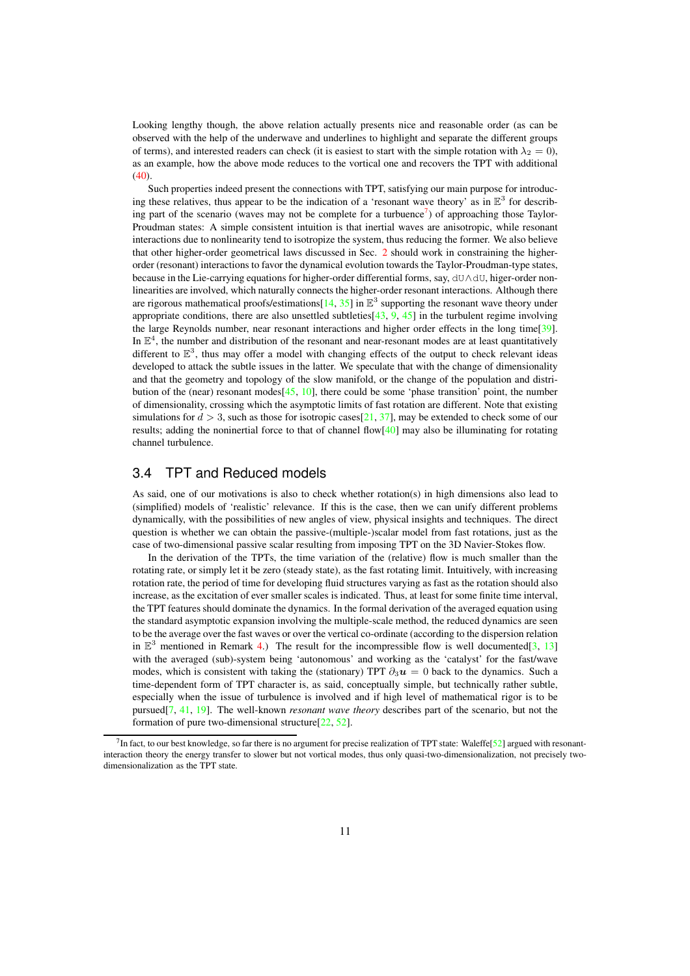Looking lengthy though, the above relation actually presents nice and reasonable order (as can be observed with the help of the underwave and underlines to highlight and separate the different groups of terms), and interested readers can check (it is easiest to start with the simple rotation with  $\lambda_2 = 0$ ), as an example, how the above mode reduces to the vortical one and recovers the TPT with additional  $(40)$ .

Such properties indeed present the connections with TPT, satisfying our main purpose for introducing these relatives, thus appear to be the indication of a 'resonant wave theory' as in  $\mathbb{E}^3$  for describ-ing part of the scenario (waves may not be complete for a turbuence<sup>[7](#page-10-1)</sup>) of approaching those Taylor-Proudman states: A simple consistent intuition is that inertial waves are anisotropic, while resonant interactions due to nonlinearity tend to isotropize the system, thus reducing the former. We also believe that other higher-order geometrical laws discussed in Sec. [2](#page-2-4) should work in constraining the higherorder (resonant) interactions to favor the dynamical evolution towards the Taylor-Proudman-type states, because in the Lie-carrying equations for higher-order differential forms, say, dU∧dU, higer-order nonlinearities are involved, which naturally connects the higher-order resonant interactions. Although there are rigorous mathematical proofs/estimations $[14, 35]$  $[14, 35]$  $[14, 35]$  in  $\mathbb{E}^3$  supporting the resonant wave theory under appropriate conditions, there are also unsettled subtleties  $[43, 9, 45]$  $[43, 9, 45]$  $[43, 9, 45]$  $[43, 9, 45]$  $[43, 9, 45]$  in the turbulent regime involving the large Reynolds number, near resonant interactions and higher order effects in the long time[\[39\]](#page-15-24). In  $\mathbb{E}^4$ , the number and distribution of the resonant and near-resonant modes are at least quantitatively different to  $\mathbb{E}^3$ , thus may offer a model with changing effects of the output to check relevant ideas developed to attack the subtle issues in the latter. We speculate that with the change of dimensionality and that the geometry and topology of the slow manifold, or the change of the population and distribution of the (near) resonant modes $[45, 10]$  $[45, 10]$  $[45, 10]$ , there could be some 'phase transition' point, the number of dimensionality, crossing which the asymptotic limits of fast rotation are different. Note that existing simulations for  $d > 3$ , such as those for isotropic cases [\[21,](#page-14-13) [37\]](#page-15-1), may be extended to check some of our results; adding the noninertial force to that of channel flow[\[40\]](#page-15-18) may also be illuminating for rotating channel turbulence.

#### <span id="page-10-0"></span>3.4 TPT and Reduced models

As said, one of our motivations is also to check whether rotation(s) in high dimensions also lead to (simplified) models of 'realistic' relevance. If this is the case, then we can unify different problems dynamically, with the possibilities of new angles of view, physical insights and techniques. The direct question is whether we can obtain the passive-(multiple-)scalar model from fast rotations, just as the case of two-dimensional passive scalar resulting from imposing TPT on the 3D Navier-Stokes flow.

In the derivation of the TPTs, the time variation of the (relative) flow is much smaller than the rotating rate, or simply let it be zero (steady state), as the fast rotating limit. Intuitively, with increasing rotation rate, the period of time for developing fluid structures varying as fast as the rotation should also increase, as the excitation of ever smaller scales is indicated. Thus, at least for some finite time interval, the TPT features should dominate the dynamics. In the formal derivation of the averaged equation using the standard asymptotic expansion involving the multiple-scale method, the reduced dynamics are seen to be the average over the fast waves or over the vertical co-ordinate (according to the dispersion relation in  $\mathbb{E}^3$  mentioned in Remark [4.](#page-9-4)) The result for the incompressible flow is well documented[\[3,](#page-14-7) [13\]](#page-14-8) with the averaged (sub)-system being 'autonomous' and working as the 'catalyst' for the fast/wave modes, which is consistent with taking the (stationary) TPT  $\partial_3 u = 0$  back to the dynamics. Such a time-dependent form of TPT character is, as said, conceptually simple, but technically rather subtle, especially when the issue of turbulence is involved and if high level of mathematical rigor is to be pursued[\[7,](#page-14-20) [41,](#page-15-22) [19\]](#page-14-22). The well-known *resonant wave theory* describes part of the scenario, but not the formation of pure two-dimensional structure[\[22,](#page-14-23) [52\]](#page-15-25).

<span id="page-10-1"></span> $^7$ In fact, to our best knowledge, so far there is no argument for precise realization of TPT state: Waleffe[\[52\]](#page-15-25) argued with resonantinteraction theory the energy transfer to slower but not vortical modes, thus only quasi-two-dimensionalization, not precisely twodimensionalization as the TPT state.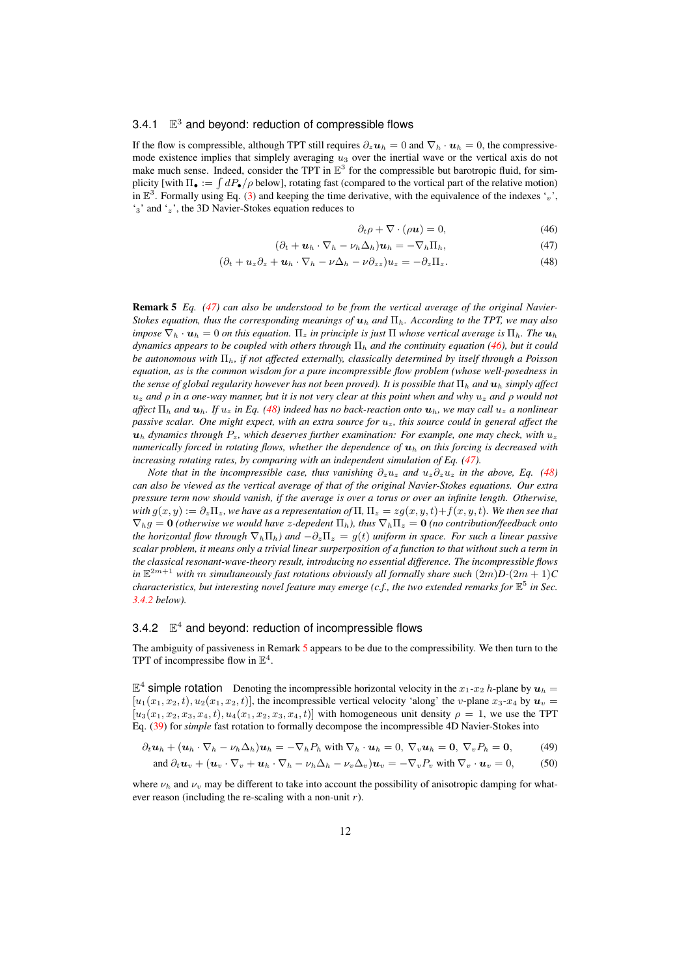#### <span id="page-11-4"></span>3.4.1  $\mathbb{E}^3$  and beyond: reduction of compressible flows

If the flow is compressible, although TPT still requires  $\partial_z \mathbf{u}_h = 0$  and  $\nabla_h \cdot \mathbf{u}_h = 0$ , the compressivemode existence implies that simplely averaging  $u_3$  over the inertial wave or the vertical axis do not make much sense. Indeed, consider the TPT in  $\mathbb{E}^3$  for the compressible but barotropic fluid, for simplicity [with  $\Pi_{\bullet} := \int dP_{\bullet}/\rho$  below], rotating fast (compared to the vortical part of the relative motion) in  $\mathbb{E}^3$ . Formally using Eq. [\(3\)](#page-1-1) and keeping the time derivative, with the equivalence of the indexes 'v', '3' and 'z', the 3D Navier-Stokes equation reduces to

<span id="page-11-0"></span>
$$
\partial_t \rho + \nabla \cdot (\rho \mathbf{u}) = 0,\tag{46}
$$

$$
(\partial_t + \boldsymbol{u}_h \cdot \nabla_h - \nu_h \Delta_h) \boldsymbol{u}_h = -\nabla_h \Pi_h, \qquad (47)
$$

$$
(\partial_t + u_z \partial_z + \boldsymbol{u}_h \cdot \nabla_h - \nu \Delta_h - \nu \partial_{zz}) u_z = -\partial_z \Pi_z.
$$
 (48)

<span id="page-11-3"></span>Remark 5 *Eq. [\(47\)](#page-11-0) can also be understood to be from the vertical average of the original Navier-Stokes equation, thus the corresponding meanings of* u<sup>h</sup> *and* Πh*. According to the TPT, we may also impose*  $\nabla_h \cdot \mathbf{u}_h = 0$  *on this equation.*  $\Pi_z$  *in principle is just*  $\Pi$  *whose vertical average is*  $\Pi_h$ *. The*  $\mathbf{u}_h$ *dynamics appears to be coupled with others through*  $\Pi_h$  *and the continuity equation [\(46\)](#page-11-0), but it could be autonomous with* Πh*, if not affected externally, classically determined by itself through a Poisson equation, as is the common wisdom for a pure incompressible flow problem (whose well-posedness in the sense of global regularity however has not been proved). It is possible that*  $\Pi_h$  *and*  $\mathbf{u}_h$  *simply affect* u<sup>z</sup> *and* ρ *in a one-way manner, but it is not very clear at this point when and why* u<sup>z</sup> *and* ρ *would not affect*  $\Pi_h$  *and*  $u_h$ *. If*  $u_z$  *in Eq.* [\(48\)](#page-11-0) *indeed has no back-reaction onto*  $u_h$ *, we may call*  $u_z$  *a nonlinear passive scalar. One might expect, with an extra source for* uz*, this source could in general affect the*  $u_h$  dynamics through  $P_z$ , which deserves further examination: For example, one may check, with  $u_z$ *numerically forced in rotating flows, whether the dependence of*  $\mathbf{u}_h$  *on this forcing is decreased with increasing rotating rates, by comparing with an independent simulation of Eq. [\(47\)](#page-11-0).*

*Note that in the incompressible case, thus vanishing*  $\partial_z u_z$  *and*  $u_z \partial_z u_z$  *in the above, Eq.* [\(48\)](#page-11-0) *can also be viewed as the vertical average of that of the original Navier-Stokes equations. Our extra pressure term now should vanish, if the average is over a torus or over an infinite length. Otherwise, with*  $g(x, y) := \partial_z \Pi_z$ , we have as a representation of  $\Pi$ ,  $\Pi_z = zg(x, y, t) + f(x, y, t)$ . We then see that  $\nabla_h g = 0$  *(otherwise we would have z-depedent*  $\Pi_h$ *), thus*  $\nabla_h \Pi_z = 0$  *(no contribution/feedback onto the horizontal flow through*  $\nabla_h \Pi_h$ *) and*  $-\partial_z \Pi_z = g(t)$  *uniform in space. For such a linear passive scalar problem, it means only a trivial linear surperposition of a function to that without such a term in the classical resonant-wave-theory result, introducing no essential difference. The incompressible flows in*  $\mathbb{E}^{2m+1}$  with  $m$  *simultaneously fast rotations obviously all formally share such*  $(2m)D\text{-}(2m+1)C$ *characteristics, but interesting novel feature may emerge (c.f., the two extended remarks for* E 5 *in Sec. [3.4.2](#page-11-2) below).*

#### <span id="page-11-2"></span>3.4.2  $\mathbb{E}^4$  and beyond: reduction of incompressible flows

The ambiguity of passiveness in Remark [5](#page-11-3) appears to be due to the compressibility. We then turn to the TPT of incompressibe flow in  $\mathbb{E}^4$ .

 $\mathbb{E}^4$  simple rotation Denoting the incompressible horizontal velocity in the  $x_1-x_2$  h-plane by  $u_h =$  $[u_1(x_1, x_2, t), u_2(x_1, x_2, t)]$ , the incompressible vertical velocity 'along' the v-plane  $x_3$ - $x_4$  by  $u_v$  $[u_3(x_1, x_2, x_3, x_4, t), u_4(x_1, x_2, x_3, x_4, t)]$  with homogeneous unit density  $\rho = 1$ , we use the TPT Eq. [\(39\)](#page-8-3) for *simple* fast rotation to formally decompose the incompressible 4D Navier-Stokes into

<span id="page-11-1"></span>
$$
\partial_t \mathbf{u}_h + (\mathbf{u}_h \cdot \nabla_h - \nu_h \Delta_h) \mathbf{u}_h = -\nabla_h P_h \text{ with } \nabla_h \cdot \mathbf{u}_h = 0, \ \nabla_v \mathbf{u}_h = \mathbf{0}, \ \nabla_v P_h = \mathbf{0}, \quad (49)
$$
\n
$$
\text{and } \partial_t \mathbf{u}_v + (\mathbf{u}_v \cdot \nabla_v + \mathbf{u}_h \cdot \nabla_h - \nu_h \Delta_h - \nu_v \Delta_v) \mathbf{u}_v = -\nabla_v P_v \text{ with } \nabla_v \cdot \mathbf{u}_v = 0,
$$
\n(50)

where  $\nu_h$  and  $\nu_v$  may be different to take into account the possibility of anisotropic damping for whatever reason (including the re-scaling with a non-unit  $r$ ).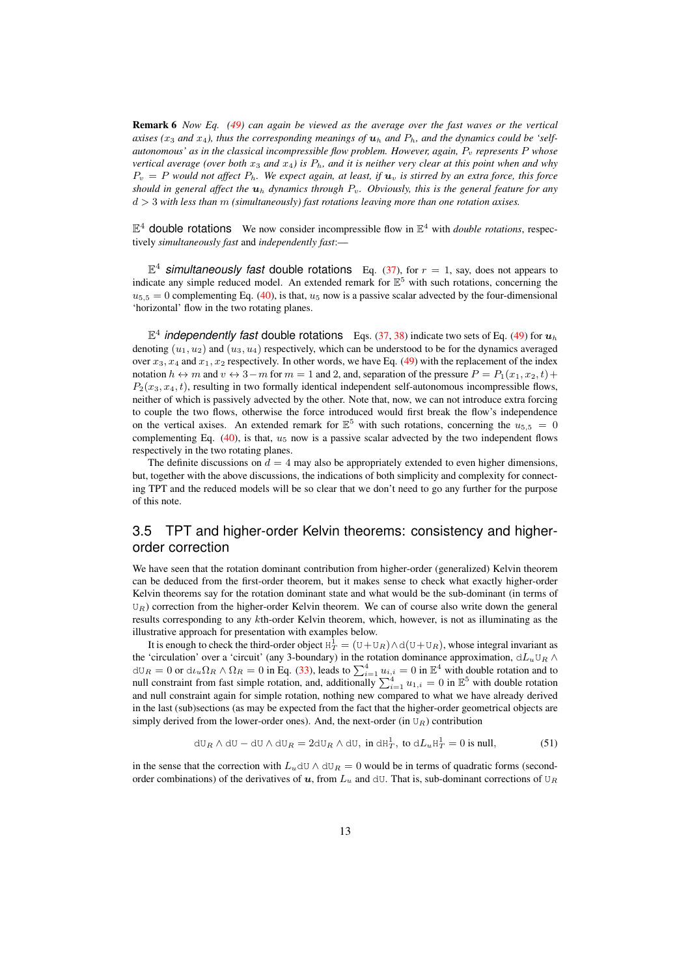Remark 6 *Now Eq. [\(49\)](#page-11-1) can again be viewed as the average over the fast waves or the vertical axises (x<sub>3</sub> and x<sub>4</sub>), thus the corresponding meanings of*  $u_h$  *and*  $P_h$ *, and the dynamics could be 'selfautonomous' as in the classical incompressible flow problem. However, again,*  $P_v$  *represents* P whose *vertical average (over both*  $x_3$  *and*  $x_4$ ) *is*  $P_h$ *, and it is neither very clear at this point when and why*  $P_v = P$  would not affect  $P_h$ . We expect again, at least, if  $u_v$  is stirred by an extra force, this force *should in general affect the*  $u_h$  *dynamics through*  $P_v$ *. Obviously, this is the general feature for any* d > 3 *with less than* m *(simultaneously) fast rotations leaving more than one rotation axises.*

 $\mathbb{E}^4$  double rotations We now consider incompressible flow in  $\mathbb{E}^4$  with *double rotations*, respectively *simultaneously fast* and *independently fast*:—

 $\mathbb{E}^4$  **simultaneously fast double rotations** Eq. [\(37\)](#page-8-2), for  $r = 1$ , say, does not appears to indicate any simple reduced model. An extended remark for  $\mathbb{E}^5$  with such rotations, concerning the  $u_{5,5} = 0$  complementing Eq. [\(40\)](#page-8-4), is that,  $u_5$  now is a passive scalar advected by the four-dimensional 'horizontal' flow in the two rotating planes.

 $\mathbb{E}^4$  *independently fast* double rotations Eqs. [\(37,](#page-8-2) [38\)](#page-8-5) indicate two sets of Eq. [\(49\)](#page-11-1) for  $u_h$ denoting  $(u_1, u_2)$  and  $(u_3, u_4)$  respectively, which can be understood to be for the dynamics averaged over  $x_3, x_4$  and  $x_1, x_2$  respectively. In other words, we have Eq. [\(49\)](#page-11-1) with the replacement of the index notation  $h \leftrightarrow m$  and  $v \leftrightarrow 3-m$  for  $m = 1$  and 2, and, separation of the pressure  $P = P_1(x_1, x_2, t) +$  $P_2(x_3, x_4, t)$ , resulting in two formally identical independent self-autonomous incompressible flows, neither of which is passively advected by the other. Note that, now, we can not introduce extra forcing to couple the two flows, otherwise the force introduced would first break the flow's independence on the vertical axises. An extended remark for  $\mathbb{E}^5$  with such rotations, concerning the  $u_{5,5} = 0$ complementing Eq.  $(40)$ , is that,  $u<sub>5</sub>$  now is a passive scalar advected by the two independent flows respectively in the two rotating planes.

The definite discussions on  $d = 4$  may also be appropriately extended to even higher dimensions, but, together with the above discussions, the indications of both simplicity and complexity for connecting TPT and the reduced models will be so clear that we don't need to go any further for the purpose of this note.

## 3.5 TPT and higher-order Kelvin theorems: consistency and higherorder correction

We have seen that the rotation dominant contribution from higher-order (generalized) Kelvin theorem can be deduced from the first-order theorem, but it makes sense to check what exactly higher-order Kelvin theorems say for the rotation dominant state and what would be the sub-dominant (in terms of  $U_R$ ) correction from the higher-order Kelvin theorem. We can of course also write down the general results corresponding to any kth-order Kelvin theorem, which, however, is not as illuminating as the illustrative approach for presentation with examples below.

It is enough to check the third-order object  $H_T^1 = (U + U_R) \wedge d(U + U_R)$ , whose integral invariant as the 'circulation' over a 'circuit' (any 3-boundary) in the rotation dominance approximation,  $dL_u U_R \wedge$  $dU_R = 0$  or  $d\iota_u \Omega_R \wedge \Omega_R = 0$  in Eq. [\(33\)](#page-7-1), leads to  $\sum_{i=1}^4 \mu_{i,i} = 0$  in  $\mathbb{E}^4$  with double rotation and to null constraint from fast simple rotation, and, additionally  $\sum_{i=1}^{4} u_{1,i} = 0$  in  $\mathbb{E}^5$  with double rotation and null constraint again for simple rotation, nothing new compared to what we have already derived in the last (sub)sections (as may be expected from the fact that the higher-order geometrical objects are simply derived from the lower-order ones). And, the next-order (in  $U_R$ ) contribution

$$
dU_R \wedge dU - dU \wedge dU_R = 2dU_R \wedge dU, \text{ in } dH_T^1, \text{ to } dL_u H_T^1 = 0 \text{ is null}, \tag{51}
$$

in the sense that the correction with  $L_u$ dU ∧ dU $_R = 0$  would be in terms of quadratic forms (secondorder combinations) of the derivatives of u, from  $L_u$  and dU. That is, sub-dominant corrections of U<sub>R</sub>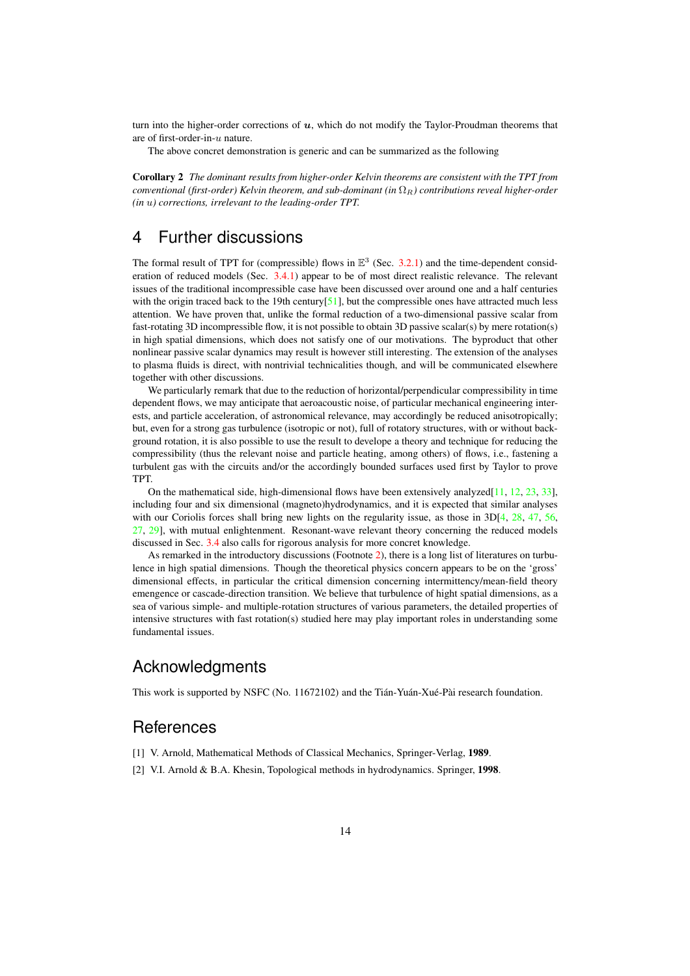turn into the higher-order corrections of  $u$ , which do not modify the Taylor-Proudman theorems that are of first-order-in-u nature.

The above concret demonstration is generic and can be summarized as the following

Corollary 2 *The dominant results from higher-order Kelvin theorems are consistent with the TPT from conventional (first-order) Kelvin theorem, and sub-dominant (in*  $\Omega_R$ ) *contributions reveal higher-order (in* u*) corrections, irrelevant to the leading-order TPT.*

# 4 Further discussions

The formal result of TPT for (compressible) flows in  $\mathbb{E}^{3}$  (Sec. [3.2.1\)](#page-7-0) and the time-dependent consideration of reduced models (Sec. [3.4.1\)](#page-11-4) appear to be of most direct realistic relevance. The relevant issues of the traditional incompressible case have been discussed over around one and a half centuries with the origin traced back to the 19th century  $[51]$ , but the compressible ones have attracted much less attention. We have proven that, unlike the formal reduction of a two-dimensional passive scalar from fast-rotating 3D incompressible flow, it is not possible to obtain 3D passive scalar(s) by mere rotation(s) in high spatial dimensions, which does not satisfy one of our motivations. The byproduct that other nonlinear passive scalar dynamics may result is however still interesting. The extension of the analyses to plasma fluids is direct, with nontrivial technicalities though, and will be communicated elsewhere together with other discussions.

We particularly remark that due to the reduction of horizontal/perpendicular compressibility in time dependent flows, we may anticipate that aeroacoustic noise, of particular mechanical engineering interests, and particle acceleration, of astronomical relevance, may accordingly be reduced anisotropically; but, even for a strong gas turbulence (isotropic or not), full of rotatory structures, with or without background rotation, it is also possible to use the result to develope a theory and technique for reducing the compressibility (thus the relevant noise and particle heating, among others) of flows, i.e., fastening a turbulent gas with the circuits and/or the accordingly bounded surfaces used first by Taylor to prove TPT.

On the mathematical side, high-dimensional flows have been extensively analyzed[\[11,](#page-14-9) [12,](#page-14-10) [23,](#page-14-11) [33\]](#page-15-14), including four and six dimensional (magneto)hydrodynamics, and it is expected that similar analyses with our Coriolis forces shall bring new lights on the regularity issue, as those in  $3D[4, 28, 47, 56,$  $3D[4, 28, 47, 56,$  $3D[4, 28, 47, 56,$  $3D[4, 28, 47, 56,$  $3D[4, 28, 47, 56,$  $3D[4, 28, 47, 56,$  $3D[4, 28, 47, 56,$  $3D[4, 28, 47, 56,$ [27,](#page-15-6) [29\]](#page-15-7), with mutual enlightenment. Resonant-wave relevant theory concerning the reduced models discussed in Sec. [3.4](#page-10-0) also calls for rigorous analysis for more concret knowledge.

As remarked in the introductory discussions (Footnote [2\)](#page-1-0), there is a long list of literatures on turbulence in high spatial dimensions. Though the theoretical physics concern appears to be on the 'gross' dimensional effects, in particular the critical dimension concerning intermittency/mean-field theory emengence or cascade-direction transition. We believe that turbulence of hight spatial dimensions, as a sea of various simple- and multiple-rotation structures of various parameters, the detailed properties of intensive structures with fast rotation(s) studied here may play important roles in understanding some fundamental issues.

# **Acknowledgments**

This work is supported by NSFC (No. 11672102) and the Tián-Yuán-Xué-Pài research foundation.

## **References**

- <span id="page-13-1"></span><span id="page-13-0"></span>[1] V. Arnold, Mathematical Methods of Classical Mechanics, Springer-Verlag, 1989.
- [2] V.I. Arnold & B.A. Khesin, Topological methods in hydrodynamics. Springer, 1998.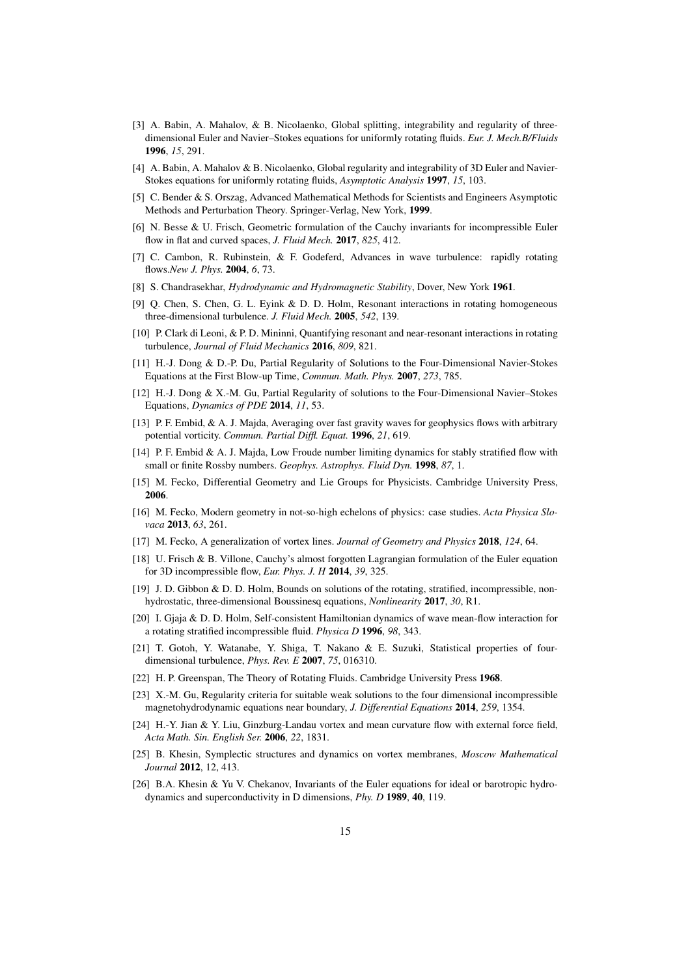- <span id="page-14-7"></span>[3] A. Babin, A. Mahalov, & B. Nicolaenko, Global splitting, integrability and regularity of threedimensional Euler and Navier–Stokes equations for uniformly rotating fluids. *Eur. J. Mech.B/Fluids* 1996, *15*, 291.
- <span id="page-14-17"></span><span id="page-14-3"></span>[4] A. Babin, A. Mahalov & B. Nicolaenko, Global regularity and integrability of 3D Euler and Navier-Stokes equations for uniformly rotating fluids, *Asymptotic Analysis* 1997, *15*, 103.
- [5] C. Bender & S. Orszag, Advanced Mathematical Methods for Scientists and Engineers Asymptotic Methods and Perturbation Theory. Springer-Verlag, New York, 1999.
- <span id="page-14-20"></span><span id="page-14-6"></span>[6] N. Besse & U. Frisch, Geometric formulation of the Cauchy invariants for incompressible Euler flow in flat and curved spaces, *J. Fluid Mech.* 2017, *825*, 412.
- [7] C. Cambon, R. Rubinstein, & F. Godeferd, Advances in wave turbulence: rapidly rotating flows.*New J. Phys.* 2004, *6*, 73.
- <span id="page-14-18"></span><span id="page-14-2"></span>[8] S. Chandrasekhar, *Hydrodynamic and Hydromagnetic Stability*, Dover, New York 1961.
- <span id="page-14-21"></span>[9] Q. Chen, S. Chen, G. L. Eyink & D. D. Holm, Resonant interactions in rotating homogeneous three-dimensional turbulence. *J. Fluid Mech.* 2005, *542*, 139.
- <span id="page-14-9"></span>[10] P. Clark di Leoni, & P. D. Mininni, Quantifying resonant and near-resonant interactions in rotating turbulence, *Journal of Fluid Mechanics* 2016, *809*, 821.
- [11] H.-J. Dong & D.-P. Du, Partial Regularity of Solutions to the Four-Dimensional Navier-Stokes Equations at the First Blow-up Time, *Commun. Math. Phys.* 2007, *273*, 785.
- <span id="page-14-10"></span>[12] H.-J. Dong & X.-M. Gu, Partial Regularity of solutions to the Four-Dimensional Navier–Stokes Equations, *Dynamics of PDE* 2014, *11*, 53.
- <span id="page-14-8"></span>[13] P. F. Embid, & A. J. Majda, Averaging over fast gravity waves for geophysics flows with arbitrary potential vorticity. *Commun. Partial Diffl. Equat.* 1996, *21*, 619.
- <span id="page-14-19"></span>[14] P. F. Embid & A. J. Majda, Low Froude number limiting dynamics for stably stratified flow with small or finite Rossby numbers. *Geophys. Astrophys. Fluid Dyn.* 1998, *87*, 1.
- <span id="page-14-15"></span><span id="page-14-14"></span>[15] M. Fecko, Differential Geometry and Lie Groups for Physicists. Cambridge University Press, 2006.
- [16] M. Fecko, Modern geometry in not-so-high echelons of physics: case studies. *Acta Physica Slovaca* 2013, *63*, 261.
- <span id="page-14-5"></span><span id="page-14-4"></span>[17] M. Fecko, A generalization of vortex lines. *Journal of Geometry and Physics* 2018, *124*, 64.
- [18] U. Frisch & B. Villone, Cauchy's almost forgotten Lagrangian formulation of the Euler equation for 3D incompressible flow, *Eur. Phys. J. H* 2014, *39*, 325.
- <span id="page-14-22"></span>[19] J. D. Gibbon & D. D. Holm, Bounds on solutions of the rotating, stratified, incompressible, nonhydrostatic, three-dimensional Boussinesq equations, *Nonlinearity* 2017, *30*, R1.
- <span id="page-14-16"></span>[20] I. Gjaja & D. D. Holm, Self-consistent Hamiltonian dynamics of wave mean-flow interaction for a rotating stratified incompressible fluid. *Physica D* 1996, *98*, 343.
- <span id="page-14-13"></span>[21] T. Gotoh, Y. Watanabe, Y. Shiga, T. Nakano & E. Suzuki, Statistical properties of fourdimensional turbulence, *Phys. Rev. E* 2007, *75*, 016310.
- <span id="page-14-23"></span><span id="page-14-11"></span>[22] H. P. Greenspan, The Theory of Rotating Fluids. Cambridge University Press 1968.
- [23] X.-M. Gu, Regularity criteria for suitable weak solutions to the four dimensional incompressible magnetohydrodynamic equations near boundary, *J. Differential Equations* 2014, *259*, 1354.
- <span id="page-14-0"></span>[24] H.-Y. Jian & Y. Liu, Ginzburg-Landau vortex and mean curvature flow with external force field, *Acta Math. Sin. English Ser.* 2006, *22*, 1831.
- <span id="page-14-1"></span>[25] B. Khesin, Symplectic structures and dynamics on vortex membranes, *Moscow Mathematical Journal* 2012, 12, 413.
- <span id="page-14-12"></span>[26] B.A. Khesin & Yu V. Chekanov, Invariants of the Euler equations for ideal or barotropic hydrodynamics and superconductivity in D dimensions, *Phy. D* 1989, 40, 119.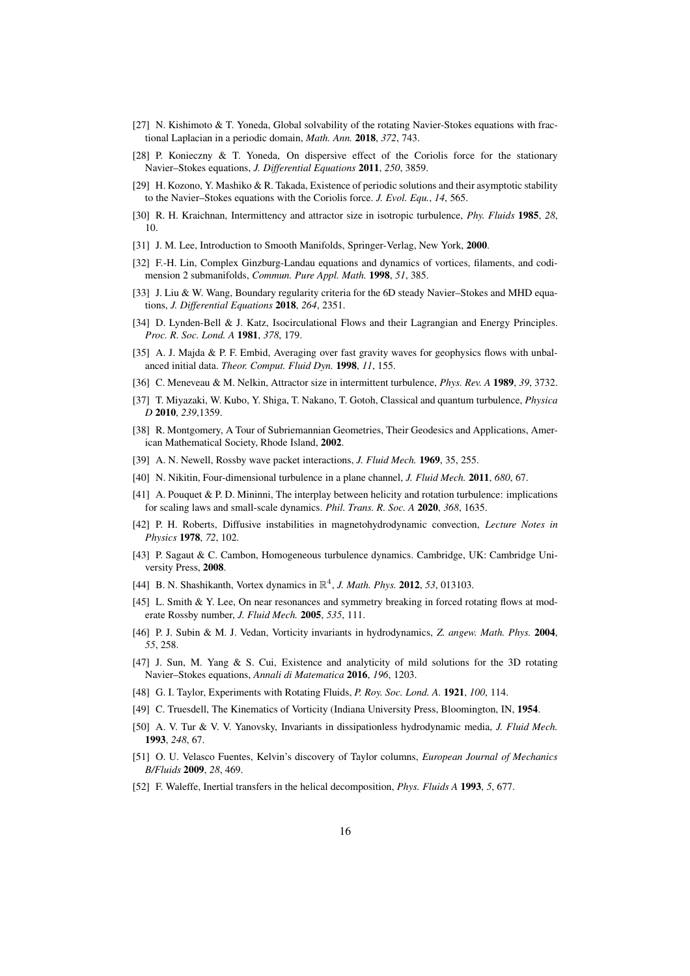- <span id="page-15-6"></span><span id="page-15-4"></span>[27] N. Kishimoto & T. Yoneda, Global solvability of the rotating Navier-Stokes equations with fractional Laplacian in a periodic domain, *Math. Ann.* 2018, *372*, 743.
- <span id="page-15-7"></span>[28] P. Konieczny & T. Yoneda, On dispersive effect of the Coriolis force for the stationary Navier–Stokes equations, *J. Differential Equations* 2011, *250*, 3859.
- [29] H. Kozono, Y. Mashiko & R. Takada, Existence of periodic solutions and their asymptotic stability to the Navier–Stokes equations with the Coriolis force. *J. Evol. Equ.*, *14*, 565.
- <span id="page-15-16"></span><span id="page-15-11"></span>[30] R. H. Kraichnan, Intermittency and attractor size in isotropic turbulence, *Phy. Fluids* 1985, *28*, 10.
- <span id="page-15-0"></span>[31] J. M. Lee, Introduction to Smooth Manifolds, Springer-Verlag, New York, 2000.
- <span id="page-15-14"></span>[32] F.-H. Lin, Complex Ginzburg-Landau equations and dynamics of vortices, filaments, and codimension 2 submanifolds, *Commun. Pure Appl. Math.* 1998, *51*, 385.
- [33] J. Liu & W. Wang, Boundary regularity criteria for the 6D steady Navier–Stokes and MHD equations, *J. Differential Equations* 2018, *264*, 2351.
- <span id="page-15-19"></span>[34] D. Lynden-Bell & J. Katz, Isocirculational Flows and their Lagrangian and Energy Principles. *Proc. R. Soc. Lond. A* 1981, *378*, 179.
- <span id="page-15-20"></span>[35] A. J. Majda & P. F. Embid, Averaging over fast gravity waves for geophysics flows with unbalanced initial data. *Theor. Comput. Fluid Dyn.* 1998, *11*, 155.
- <span id="page-15-17"></span><span id="page-15-1"></span>[36] C. Meneveau & M. Nelkin, Attractor size in intermittent turbulence, *Phys. Rev. A* 1989, *39*, 3732.
- [37] T. Miyazaki, W. Kubo, Y. Shiga, T. Nakano, T. Gotoh, Classical and quantum turbulence, *Physica D* 2010, *239*,1359.
- <span id="page-15-12"></span>[38] R. Montgomery, A Tour of Subriemannian Geometries, Their Geodesics and Applications, American Mathematical Society, Rhode Island, 2002.
- <span id="page-15-24"></span><span id="page-15-18"></span>[39] A. N. Newell, Rossby wave packet interactions, *J. Fluid Mech.* 1969, 35, 255.
- <span id="page-15-22"></span>[40] N. Nikitin, Four-dimensional turbulence in a plane channel, *J. Fluid Mech.* 2011, *680*, 67.
- [41] A. Pouquet & P. D. Mininni, The interplay between helicity and rotation turbulence: implications for scaling laws and small-scale dynamics. *Phil. Trans. R. Soc. A* 2020, *368*, 1635.
- <span id="page-15-8"></span>[42] P. H. Roberts, Diffusive instabilities in magnetohydrodynamic convection, *Lecture Notes in Physics* 1978, *72*, 102.
- <span id="page-15-21"></span>[43] P. Sagaut & C. Cambon, Homogeneous turbulence dynamics. Cambridge, UK: Cambridge University Press, 2008.
- <span id="page-15-23"></span><span id="page-15-2"></span>[44] B. N. Shashikanth, Vortex dynamics in R 4 , *J. Math. Phys.* 2012, *53*, 013103.
- [45] L. Smith & Y. Lee, On near resonances and symmetry breaking in forced rotating flows at moderate Rossby number, *J. Fluid Mech.* 2005, *535*, 111.
- <span id="page-15-15"></span>[46] P. J. Subin & M. J. Vedan, Vorticity invariants in hydrodynamics, *Z. angew. Math. Phys.* 2004, *55*, 258.
- <span id="page-15-5"></span>[47] J. Sun, M. Yang & S. Cui, Existence and analyticity of mild solutions for the 3D rotating Navier–Stokes equations, *Annali di Matematica* 2016, *196*, 1203.
- <span id="page-15-10"></span><span id="page-15-3"></span>[48] G. I. Taylor, Experiments with Rotating Fluids, *P. Roy. Soc. Lond. A.* 1921, *100*, 114.
- <span id="page-15-13"></span>[49] C. Truesdell, The Kinematics of Vorticity (Indiana University Press, Bloomington, IN, 1954.
- [50] A. V. Tur & V. V. Yanovsky, Invariants in dissipationless hydrodynamic media, *J. Fluid Mech.* 1993, *248*, 67.
- <span id="page-15-9"></span>[51] O. U. Velasco Fuentes, Kelvin's discovery of Taylor columns, *European Journal of Mechanics B/Fluids* 2009, *28*, 469.
- <span id="page-15-25"></span>[52] F. Waleffe, Inertial transfers in the helical decomposition, *Phys. Fluids A* 1993, *5*, 677.